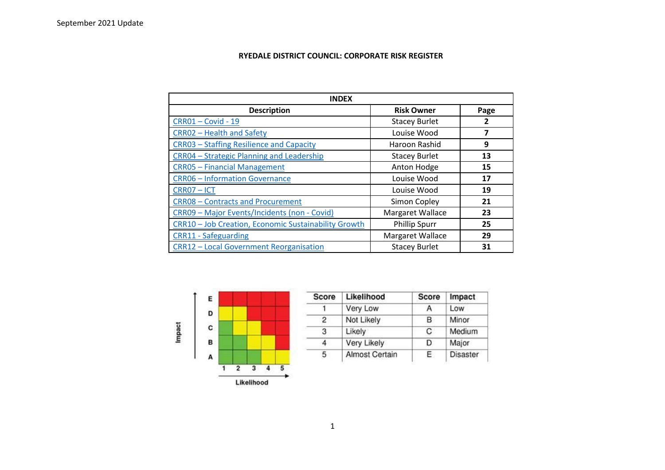## **RYEDALE DISTRICT COUNCIL: CORPORATE RISK REGISTER**

| <b>INDEX</b>                                         |                      |                         |  |  |
|------------------------------------------------------|----------------------|-------------------------|--|--|
| <b>Description</b>                                   | <b>Risk Owner</b>    | Page                    |  |  |
| <b>CRR01-Covid-19</b>                                | <b>Stacey Burlet</b> | 2                       |  |  |
| CRR02 - Health and Safety                            | Louise Wood          | $\overline{\mathbf{z}}$ |  |  |
| CRR03 - Staffing Resilience and Capacity             | Haroon Rashid        | 9                       |  |  |
| CRR04 - Strategic Planning and Leadership            | <b>Stacey Burlet</b> | 13                      |  |  |
| <b>CRR05 - Financial Management</b>                  | Anton Hodge          | 15                      |  |  |
| <b>CRR06 - Information Governance</b>                | Louise Wood          | 17                      |  |  |
| CRR07-ICT                                            | Louise Wood          | 19                      |  |  |
| <b>CRR08 - Contracts and Procurement</b>             | Simon Copley         | 21                      |  |  |
| CRR09 - Major Events/Incidents (non - Covid)         | Margaret Wallace     | 23                      |  |  |
| CRR10 - Job Creation, Economic Sustainability Growth | <b>Phillip Spurr</b> | 25                      |  |  |
| <b>CRR11 - Safeguarding</b>                          | Margaret Wallace     | 29                      |  |  |
| <b>CRR12 - Local Government Reorganisation</b>       | <b>Stacey Burlet</b> | 31                      |  |  |



| Score | Likelihood            | <b>Score</b> | Impact          |
|-------|-----------------------|--------------|-----------------|
|       | Very Low              | А            | Low             |
| 2     | Not Likely            | в            | Minor           |
| 3     | Likely                | C            | Medium          |
|       | Very Likely           | D            | Major           |
| 5     | <b>Almost Certain</b> | E.           | <b>Disaster</b> |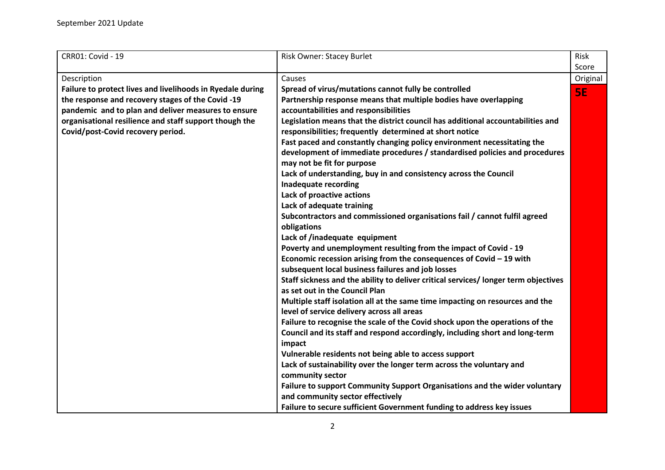<span id="page-1-0"></span>

| CRR01: Covid - 19                                          | <b>Risk Owner: Stacey Burlet</b>                                                                                      | Risk      |
|------------------------------------------------------------|-----------------------------------------------------------------------------------------------------------------------|-----------|
|                                                            |                                                                                                                       | Score     |
| Description                                                | Causes                                                                                                                | Original  |
| Failure to protect lives and livelihoods in Ryedale during | Spread of virus/mutations cannot fully be controlled                                                                  | <b>5E</b> |
| the response and recovery stages of the Covid -19          | Partnership response means that multiple bodies have overlapping                                                      |           |
| pandemic and to plan and deliver measures to ensure        | accountabilities and responsibilities                                                                                 |           |
| organisational resilience and staff support though the     | Legislation means that the district council has additional accountabilities and                                       |           |
| Covid/post-Covid recovery period.                          | responsibilities; frequently determined at short notice                                                               |           |
|                                                            | Fast paced and constantly changing policy environment necessitating the                                               |           |
|                                                            | development of immediate procedures / standardised policies and procedures                                            |           |
|                                                            | may not be fit for purpose                                                                                            |           |
|                                                            | Lack of understanding, buy in and consistency across the Council                                                      |           |
|                                                            | Inadequate recording                                                                                                  |           |
|                                                            | Lack of proactive actions                                                                                             |           |
|                                                            | Lack of adequate training                                                                                             |           |
|                                                            | Subcontractors and commissioned organisations fail / cannot fulfil agreed                                             |           |
|                                                            | obligations                                                                                                           |           |
|                                                            | Lack of /inadequate equipment                                                                                         |           |
|                                                            | Poverty and unemployment resulting from the impact of Covid - 19                                                      |           |
|                                                            | Economic recession arising from the consequences of Covid $-19$ with                                                  |           |
|                                                            | subsequent local business failures and job losses                                                                     |           |
|                                                            | Staff sickness and the ability to deliver critical services/ longer term objectives<br>as set out in the Council Plan |           |
|                                                            | Multiple staff isolation all at the same time impacting on resources and the                                          |           |
|                                                            | level of service delivery across all areas                                                                            |           |
|                                                            | Failure to recognise the scale of the Covid shock upon the operations of the                                          |           |
|                                                            | Council and its staff and respond accordingly, including short and long-term<br>impact                                |           |
|                                                            | Vulnerable residents not being able to access support                                                                 |           |
|                                                            | Lack of sustainability over the longer term across the voluntary and                                                  |           |
|                                                            | community sector                                                                                                      |           |
|                                                            | Failure to support Community Support Organisations and the wider voluntary                                            |           |
|                                                            | and community sector effectively                                                                                      |           |
|                                                            | Failure to secure sufficient Government funding to address key issues                                                 |           |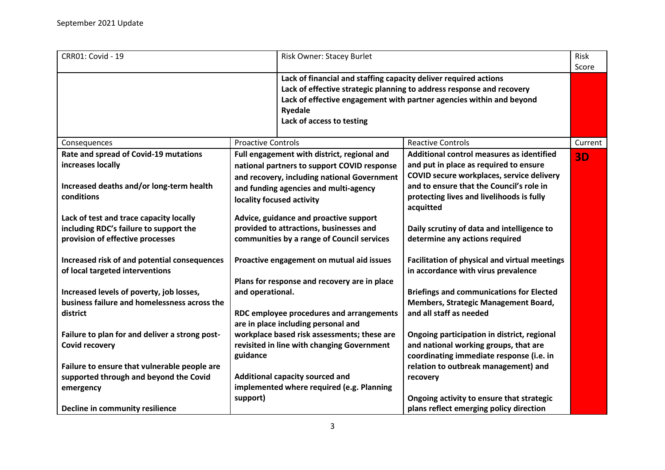| <b>CRR01: Covid - 19</b>                                                                                                               | Risk Owner: Stacey Burlet                                                                                                                                                                                       |                                                                                                                                                                                                                           |         |
|----------------------------------------------------------------------------------------------------------------------------------------|-----------------------------------------------------------------------------------------------------------------------------------------------------------------------------------------------------------------|---------------------------------------------------------------------------------------------------------------------------------------------------------------------------------------------------------------------------|---------|
|                                                                                                                                        | Lack of financial and staffing capacity deliver required actions<br>Ryedale<br>Lack of access to testing                                                                                                        | Lack of effective strategic planning to address response and recovery<br>Lack of effective engagement with partner agencies within and beyond                                                                             | Score   |
| Consequences                                                                                                                           | <b>Proactive Controls</b>                                                                                                                                                                                       | <b>Reactive Controls</b>                                                                                                                                                                                                  | Current |
| Rate and spread of Covid-19 mutations<br>increases locally<br>Increased deaths and/or long-term health<br>conditions                   | Full engagement with district, regional and<br>national partners to support COVID response<br>and recovery, including national Government<br>and funding agencies and multi-agency<br>locality focused activity | Additional control measures as identified<br>and put in place as required to ensure<br>COVID secure workplaces, service delivery<br>and to ensure that the Council's role in<br>protecting lives and livelihoods is fully | 3D      |
| Lack of test and trace capacity locally<br>including RDC's failure to support the<br>provision of effective processes                  | Advice, guidance and proactive support<br>provided to attractions, businesses and<br>communities by a range of Council services                                                                                 | acquitted<br>Daily scrutiny of data and intelligence to<br>determine any actions required                                                                                                                                 |         |
| Increased risk of and potential consequences<br>of local targeted interventions                                                        | Proactive engagement on mutual aid issues<br>Plans for response and recovery are in place                                                                                                                       | Facilitation of physical and virtual meetings<br>in accordance with virus prevalence                                                                                                                                      |         |
| Increased levels of poverty, job losses,<br>business failure and homelessness across the<br>district                                   | and operational.<br>RDC employee procedures and arrangements<br>are in place including personal and                                                                                                             | <b>Briefings and communications for Elected</b><br>Members, Strategic Management Board,<br>and all staff as needed                                                                                                        |         |
| Failure to plan for and deliver a strong post-<br><b>Covid recovery</b>                                                                | workplace based risk assessments; these are<br>revisited in line with changing Government<br>guidance                                                                                                           | Ongoing participation in district, regional<br>and national working groups, that are<br>coordinating immediate response (i.e. in                                                                                          |         |
| Failure to ensure that vulnerable people are<br>supported through and beyond the Covid<br>emergency<br>Decline in community resilience | Additional capacity sourced and<br>implemented where required (e.g. Planning<br>support)                                                                                                                        | relation to outbreak management) and<br>recovery<br>Ongoing activity to ensure that strategic<br>plans reflect emerging policy direction                                                                                  |         |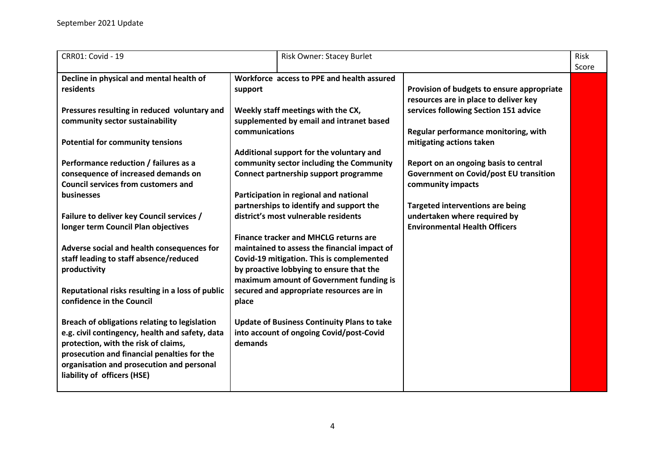| CRR01: Covid - 19                                                                                                                                                                                                                                                   |                | Risk Owner: Stacey Burlet                                                                                                                                                                                                        |                                                                                                             | <b>Risk</b><br>Score |
|---------------------------------------------------------------------------------------------------------------------------------------------------------------------------------------------------------------------------------------------------------------------|----------------|----------------------------------------------------------------------------------------------------------------------------------------------------------------------------------------------------------------------------------|-------------------------------------------------------------------------------------------------------------|----------------------|
| Decline in physical and mental health of                                                                                                                                                                                                                            |                | Workforce access to PPE and health assured                                                                                                                                                                                       |                                                                                                             |                      |
| residents                                                                                                                                                                                                                                                           | support        |                                                                                                                                                                                                                                  | Provision of budgets to ensure appropriate<br>resources are in place to deliver key                         |                      |
| Pressures resulting in reduced voluntary and<br>community sector sustainability                                                                                                                                                                                     |                | Weekly staff meetings with the CX,<br>supplemented by email and intranet based                                                                                                                                                   | services following Section 151 advice                                                                       |                      |
| <b>Potential for community tensions</b>                                                                                                                                                                                                                             | communications |                                                                                                                                                                                                                                  | Regular performance monitoring, with<br>mitigating actions taken                                            |                      |
|                                                                                                                                                                                                                                                                     |                | Additional support for the voluntary and                                                                                                                                                                                         |                                                                                                             |                      |
| Performance reduction / failures as a<br>consequence of increased demands on<br><b>Council services from customers and</b><br>businesses                                                                                                                            |                | community sector including the Community<br>Connect partnership support programme<br>Participation in regional and national                                                                                                      | Report on an ongoing basis to central<br><b>Government on Covid/post EU transition</b><br>community impacts |                      |
|                                                                                                                                                                                                                                                                     |                | partnerships to identify and support the                                                                                                                                                                                         | <b>Targeted interventions are being</b>                                                                     |                      |
| Failure to deliver key Council services /<br>longer term Council Plan objectives                                                                                                                                                                                    |                | district's most vulnerable residents                                                                                                                                                                                             | undertaken where required by<br><b>Environmental Health Officers</b>                                        |                      |
| Adverse social and health consequences for<br>staff leading to staff absence/reduced<br>productivity                                                                                                                                                                |                | <b>Finance tracker and MHCLG returns are</b><br>maintained to assess the financial impact of<br>Covid-19 mitigation. This is complemented<br>by proactive lobbying to ensure that the<br>maximum amount of Government funding is |                                                                                                             |                      |
| Reputational risks resulting in a loss of public<br>confidence in the Council                                                                                                                                                                                       | place          | secured and appropriate resources are in                                                                                                                                                                                         |                                                                                                             |                      |
| Breach of obligations relating to legislation<br>e.g. civil contingency, health and safety, data<br>protection, with the risk of claims,<br>prosecution and financial penalties for the<br>organisation and prosecution and personal<br>liability of officers (HSE) | demands        | <b>Update of Business Continuity Plans to take</b><br>into account of ongoing Covid/post-Covid                                                                                                                                   |                                                                                                             |                      |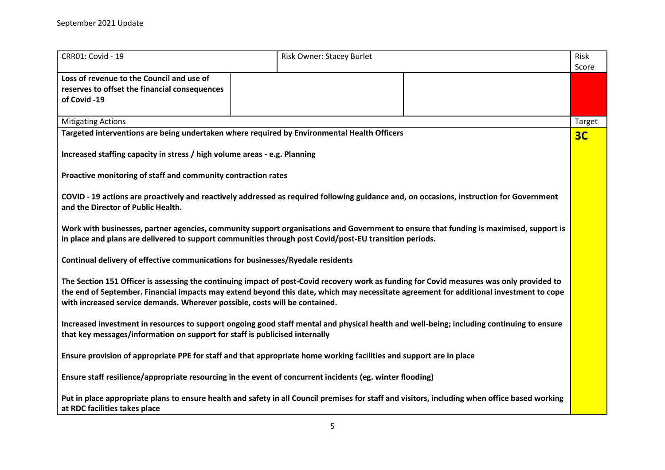| <b>CRR01: Covid - 19</b>                                                                                                                                                                                                                                                                                                                                           | Risk Owner: Stacey Burlet | <b>Risk</b><br>Score |
|--------------------------------------------------------------------------------------------------------------------------------------------------------------------------------------------------------------------------------------------------------------------------------------------------------------------------------------------------------------------|---------------------------|----------------------|
| Loss of revenue to the Council and use of<br>reserves to offset the financial consequences<br>of Covid -19                                                                                                                                                                                                                                                         |                           |                      |
| <b>Mitigating Actions</b>                                                                                                                                                                                                                                                                                                                                          |                           | Target               |
| Targeted interventions are being undertaken where required by Environmental Health Officers                                                                                                                                                                                                                                                                        |                           | 3C                   |
| Increased staffing capacity in stress / high volume areas - e.g. Planning                                                                                                                                                                                                                                                                                          |                           |                      |
| Proactive monitoring of staff and community contraction rates                                                                                                                                                                                                                                                                                                      |                           |                      |
| COVID - 19 actions are proactively and reactively addressed as required following guidance and, on occasions, instruction for Government<br>and the Director of Public Health.                                                                                                                                                                                     |                           |                      |
| Work with businesses, partner agencies, community support organisations and Government to ensure that funding is maximised, support is<br>in place and plans are delivered to support communities through post Covid/post-EU transition periods.                                                                                                                   |                           |                      |
| Continual delivery of effective communications for businesses/Ryedale residents                                                                                                                                                                                                                                                                                    |                           |                      |
| The Section 151 Officer is assessing the continuing impact of post-Covid recovery work as funding for Covid measures was only provided to<br>the end of September. Financial impacts may extend beyond this date, which may necessitate agreement for additional investment to cope<br>with increased service demands. Wherever possible, costs will be contained. |                           |                      |
| Increased investment in resources to support ongoing good staff mental and physical health and well-being; including continuing to ensure<br>that key messages/information on support for staff is publicised internally                                                                                                                                           |                           |                      |
| Ensure provision of appropriate PPE for staff and that appropriate home working facilities and support are in place                                                                                                                                                                                                                                                |                           |                      |
| Ensure staff resilience/appropriate resourcing in the event of concurrent incidents (eg. winter flooding)                                                                                                                                                                                                                                                          |                           |                      |
| Put in place appropriate plans to ensure health and safety in all Council premises for staff and visitors, including when office based working<br>at RDC facilities takes place                                                                                                                                                                                    |                           |                      |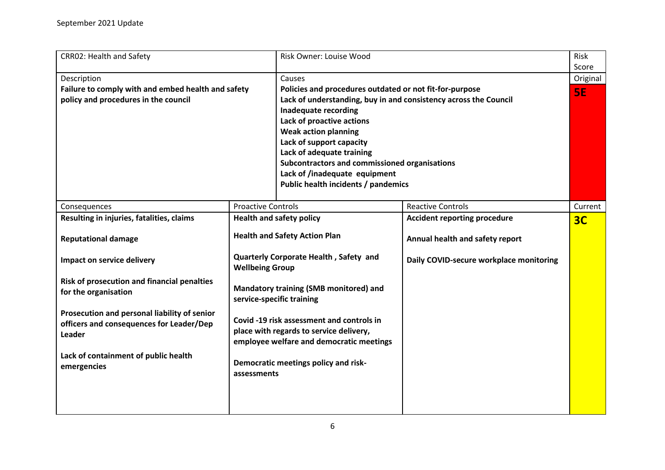<span id="page-5-0"></span>

| <b>CRR02: Health and Safety</b>                                                                           |                                                                                                                                  | Risk Owner: Louise Wood                                                                                                                                                                                                                                                                                                                                                                                            |                                         | Risk<br>Score         |
|-----------------------------------------------------------------------------------------------------------|----------------------------------------------------------------------------------------------------------------------------------|--------------------------------------------------------------------------------------------------------------------------------------------------------------------------------------------------------------------------------------------------------------------------------------------------------------------------------------------------------------------------------------------------------------------|-----------------------------------------|-----------------------|
| Description<br>Failure to comply with and embed health and safety<br>policy and procedures in the council |                                                                                                                                  | Causes<br>Policies and procedures outdated or not fit-for-purpose<br>Lack of understanding, buy in and consistency across the Council<br><b>Inadequate recording</b><br>Lack of proactive actions<br><b>Weak action planning</b><br>Lack of support capacity<br>Lack of adequate training<br>Subcontractors and commissioned organisations<br>Lack of /inadequate equipment<br>Public health incidents / pandemics |                                         | Original<br><b>SE</b> |
| Consequences                                                                                              | <b>Proactive Controls</b>                                                                                                        |                                                                                                                                                                                                                                                                                                                                                                                                                    | <b>Reactive Controls</b>                | Current               |
| Resulting in injuries, fatalities, claims                                                                 |                                                                                                                                  | <b>Health and safety policy</b>                                                                                                                                                                                                                                                                                                                                                                                    | <b>Accident reporting procedure</b>     | 3 <sub>C</sub>        |
| <b>Reputational damage</b>                                                                                |                                                                                                                                  | <b>Health and Safety Action Plan</b>                                                                                                                                                                                                                                                                                                                                                                               | Annual health and safety report         |                       |
| Impact on service delivery                                                                                | <b>Wellbeing Group</b>                                                                                                           | Quarterly Corporate Health, Safety and                                                                                                                                                                                                                                                                                                                                                                             | Daily COVID-secure workplace monitoring |                       |
| Risk of prosecution and financial penalties<br>for the organisation                                       | Mandatory training (SMB monitored) and<br>service-specific training                                                              |                                                                                                                                                                                                                                                                                                                                                                                                                    |                                         |                       |
| Prosecution and personal liability of senior<br>officers and consequences for Leader/Dep<br>Leader        | Covid -19 risk assessment and controls in<br>place with regards to service delivery,<br>employee welfare and democratic meetings |                                                                                                                                                                                                                                                                                                                                                                                                                    |                                         |                       |
| Lack of containment of public health<br>emergencies                                                       | Democratic meetings policy and risk-<br>assessments                                                                              |                                                                                                                                                                                                                                                                                                                                                                                                                    |                                         |                       |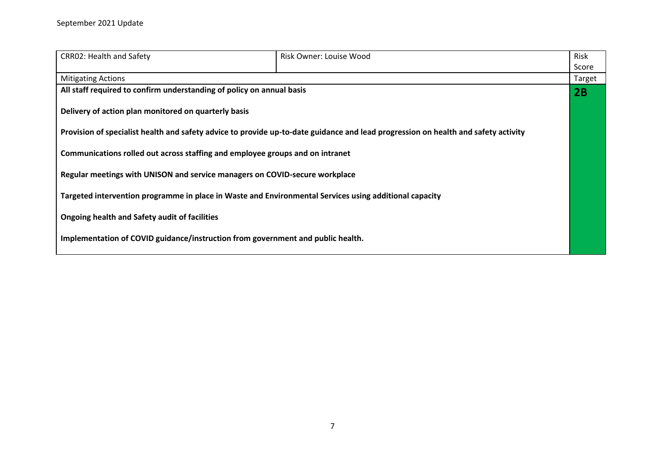| <b>CRR02: Health and Safety</b>                                                                        | Risk Owner: Louise Wood                                                                                                            | Risk   |
|--------------------------------------------------------------------------------------------------------|------------------------------------------------------------------------------------------------------------------------------------|--------|
|                                                                                                        |                                                                                                                                    | Score  |
| <b>Mitigating Actions</b>                                                                              |                                                                                                                                    | Target |
| All staff required to confirm understanding of policy on annual basis                                  |                                                                                                                                    | 2B     |
| Delivery of action plan monitored on quarterly basis                                                   |                                                                                                                                    |        |
|                                                                                                        | Provision of specialist health and safety advice to provide up-to-date guidance and lead progression on health and safety activity |        |
| Communications rolled out across staffing and employee groups and on intranet                          |                                                                                                                                    |        |
|                                                                                                        | Regular meetings with UNISON and service managers on COVID-secure workplace                                                        |        |
| Targeted intervention programme in place in Waste and Environmental Services using additional capacity |                                                                                                                                    |        |
| Ongoing health and Safety audit of facilities                                                          |                                                                                                                                    |        |
| Implementation of COVID guidance/instruction from government and public health.                        |                                                                                                                                    |        |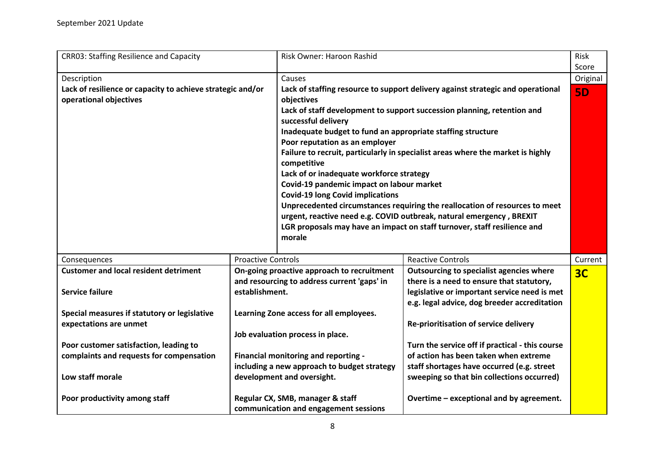<span id="page-7-0"></span>

| <b>CRR03: Staffing Resilience and Capacity</b>                                       |                                             | Risk Owner: Haroon Rashid                                   |                                                                                 | Risk           |
|--------------------------------------------------------------------------------------|---------------------------------------------|-------------------------------------------------------------|---------------------------------------------------------------------------------|----------------|
|                                                                                      |                                             |                                                             |                                                                                 | Score          |
| Description                                                                          |                                             | Causes                                                      |                                                                                 | Original       |
| Lack of resilience or capacity to achieve strategic and/or<br>operational objectives |                                             | objectives                                                  | Lack of staffing resource to support delivery against strategic and operational | <b>5D</b>      |
|                                                                                      |                                             |                                                             | Lack of staff development to support succession planning, retention and         |                |
|                                                                                      |                                             | successful delivery                                         |                                                                                 |                |
|                                                                                      |                                             | Inadequate budget to fund an appropriate staffing structure |                                                                                 |                |
|                                                                                      |                                             | Poor reputation as an employer                              |                                                                                 |                |
|                                                                                      |                                             |                                                             | Failure to recruit, particularly in specialist areas where the market is highly |                |
|                                                                                      |                                             | competitive                                                 |                                                                                 |                |
|                                                                                      |                                             | Lack of or inadequate workforce strategy                    |                                                                                 |                |
|                                                                                      |                                             | Covid-19 pandemic impact on labour market                   |                                                                                 |                |
|                                                                                      |                                             | <b>Covid-19 long Covid implications</b>                     |                                                                                 |                |
|                                                                                      |                                             |                                                             | Unprecedented circumstances requiring the reallocation of resources to meet     |                |
|                                                                                      |                                             |                                                             | urgent, reactive need e.g. COVID outbreak, natural emergency, BREXIT            |                |
|                                                                                      |                                             |                                                             | LGR proposals may have an impact on staff turnover, staff resilience and        |                |
|                                                                                      |                                             | morale                                                      |                                                                                 |                |
| Consequences                                                                         | <b>Proactive Controls</b>                   |                                                             | <b>Reactive Controls</b>                                                        | Current        |
| <b>Customer and local resident detriment</b>                                         |                                             | On-going proactive approach to recruitment                  | Outsourcing to specialist agencies where                                        | 3 <sub>C</sub> |
|                                                                                      |                                             | and resourcing to address current 'gaps' in                 | there is a need to ensure that statutory,                                       |                |
| <b>Service failure</b>                                                               | establishment.                              |                                                             | legislative or important service need is met                                    |                |
|                                                                                      |                                             |                                                             | e.g. legal advice, dog breeder accreditation                                    |                |
| Special measures if statutory or legislative                                         |                                             | Learning Zone access for all employees.                     |                                                                                 |                |
| expectations are unmet                                                               |                                             |                                                             | Re-prioritisation of service delivery                                           |                |
|                                                                                      |                                             | Job evaluation process in place.                            |                                                                                 |                |
| Poor customer satisfaction, leading to                                               |                                             |                                                             | Turn the service off if practical - this course                                 |                |
| complaints and requests for compensation                                             | Financial monitoring and reporting -        |                                                             | of action has been taken when extreme                                           |                |
|                                                                                      | including a new approach to budget strategy |                                                             | staff shortages have occurred (e.g. street                                      |                |
| Low staff morale                                                                     |                                             | development and oversight.                                  | sweeping so that bin collections occurred)                                      |                |
| Poor productivity among staff                                                        |                                             | Regular CX, SMB, manager & staff                            | Overtime - exceptional and by agreement.                                        |                |
|                                                                                      |                                             | communication and engagement sessions                       |                                                                                 |                |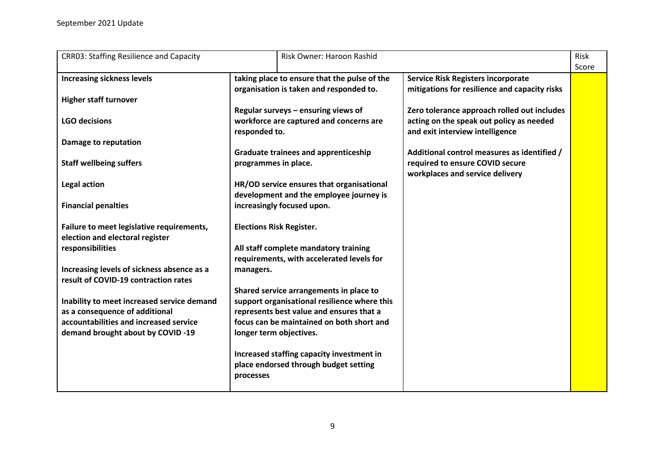| <b>CRR03: Staffing Resilience and Capacity</b>                                     |                      | Risk Owner: Haroon Rashid                                                                |                                                                                                                            | <b>Risk</b><br>Score |
|------------------------------------------------------------------------------------|----------------------|------------------------------------------------------------------------------------------|----------------------------------------------------------------------------------------------------------------------------|----------------------|
| <b>Increasing sickness levels</b>                                                  |                      | taking place to ensure that the pulse of the<br>organisation is taken and responded to.  | <b>Service Risk Registers incorporate</b><br>mitigations for resilience and capacity risks                                 |                      |
| <b>Higher staff turnover</b>                                                       |                      |                                                                                          |                                                                                                                            |                      |
| <b>LGO decisions</b>                                                               | responded to.        | Regular surveys - ensuring views of<br>workforce are captured and concerns are           | Zero tolerance approach rolled out includes<br>acting on the speak out policy as needed<br>and exit interview intelligence |                      |
| Damage to reputation                                                               |                      |                                                                                          |                                                                                                                            |                      |
| <b>Staff wellbeing suffers</b>                                                     | programmes in place. | <b>Graduate trainees and apprenticeship</b>                                              | Additional control measures as identified /<br>required to ensure COVID secure<br>workplaces and service delivery          |                      |
| Legal action                                                                       |                      | HR/OD service ensures that organisational                                                |                                                                                                                            |                      |
| <b>Financial penalties</b>                                                         |                      | development and the employee journey is<br>increasingly focused upon.                    |                                                                                                                            |                      |
| Failure to meet legislative requirements,<br>election and electoral register       |                      | <b>Elections Risk Register.</b>                                                          |                                                                                                                            |                      |
| responsibilities                                                                   |                      | All staff complete mandatory training<br>requirements, with accelerated levels for       |                                                                                                                            |                      |
| Increasing levels of sickness absence as a<br>result of COVID-19 contraction rates | managers.            |                                                                                          |                                                                                                                            |                      |
|                                                                                    |                      | Shared service arrangements in place to                                                  |                                                                                                                            |                      |
| Inability to meet increased service demand<br>as a consequence of additional       |                      | support organisational resilience where this<br>represents best value and ensures that a |                                                                                                                            |                      |
| accountabilities and increased service<br>demand brought about by COVID -19        |                      | focus can be maintained on both short and<br>longer term objectives.                     |                                                                                                                            |                      |
|                                                                                    | processes            | Increased staffing capacity investment in<br>place endorsed through budget setting       |                                                                                                                            |                      |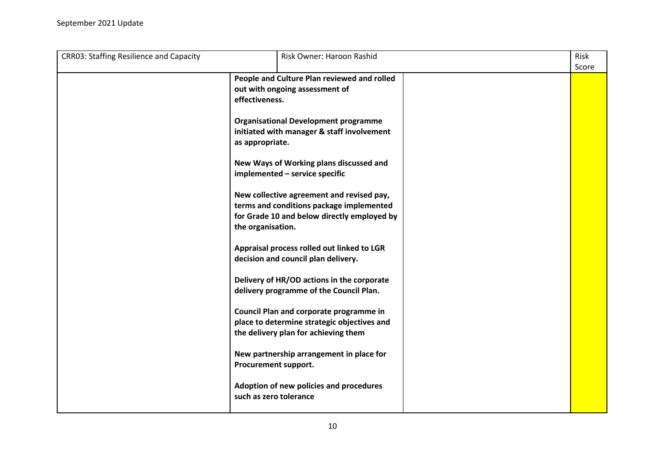| <b>CRR03: Staffing Resilience and Capacity</b> | Risk Owner: Haroon Rashid                                                                                                                                 | Risk  |
|------------------------------------------------|-----------------------------------------------------------------------------------------------------------------------------------------------------------|-------|
|                                                |                                                                                                                                                           | Score |
|                                                | People and Culture Plan reviewed and rolled<br>out with ongoing assessment of<br>effectiveness.                                                           |       |
|                                                | <b>Organisational Development programme</b><br>initiated with manager & staff involvement<br>as appropriate.                                              |       |
|                                                | New Ways of Working plans discussed and<br>implemented - service specific                                                                                 |       |
|                                                | New collective agreement and revised pay,<br>terms and conditions package implemented<br>for Grade 10 and below directly employed by<br>the organisation. |       |
|                                                | Appraisal process rolled out linked to LGR<br>decision and council plan delivery.                                                                         |       |
|                                                | Delivery of HR/OD actions in the corporate<br>delivery programme of the Council Plan.                                                                     |       |
|                                                | Council Plan and corporate programme in<br>place to determine strategic objectives and<br>the delivery plan for achieving them                            |       |
|                                                | New partnership arrangement in place for<br>Procurement support.                                                                                          |       |
|                                                | Adoption of new policies and procedures<br>such as zero tolerance                                                                                         |       |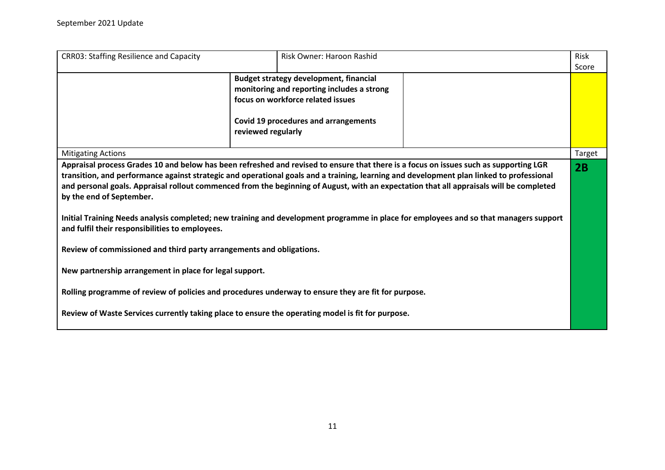| <b>CRR03: Staffing Resilience and Capacity</b>                                                                                                                                                                                                                                                                                                                                                                                                                                                                                                                                                                                                       | Risk Owner: Haroon Rashid                                                                                                                                                                             |  | Risk   |
|------------------------------------------------------------------------------------------------------------------------------------------------------------------------------------------------------------------------------------------------------------------------------------------------------------------------------------------------------------------------------------------------------------------------------------------------------------------------------------------------------------------------------------------------------------------------------------------------------------------------------------------------------|-------------------------------------------------------------------------------------------------------------------------------------------------------------------------------------------------------|--|--------|
|                                                                                                                                                                                                                                                                                                                                                                                                                                                                                                                                                                                                                                                      | <b>Budget strategy development, financial</b><br>monitoring and reporting includes a strong<br>focus on workforce related issues<br><b>Covid 19 procedures and arrangements</b><br>reviewed regularly |  | Score  |
| <b>Mitigating Actions</b>                                                                                                                                                                                                                                                                                                                                                                                                                                                                                                                                                                                                                            |                                                                                                                                                                                                       |  | Target |
| Appraisal process Grades 10 and below has been refreshed and revised to ensure that there is a focus on issues such as supporting LGR<br>transition, and performance against strategic and operational goals and a training, learning and development plan linked to professional<br>and personal goals. Appraisal rollout commenced from the beginning of August, with an expectation that all appraisals will be completed<br>by the end of September.<br>Initial Training Needs analysis completed; new training and development programme in place for employees and so that managers support<br>and fulfil their responsibilities to employees. |                                                                                                                                                                                                       |  | 2B     |
| Review of commissioned and third party arrangements and obligations.                                                                                                                                                                                                                                                                                                                                                                                                                                                                                                                                                                                 |                                                                                                                                                                                                       |  |        |
| New partnership arrangement in place for legal support.                                                                                                                                                                                                                                                                                                                                                                                                                                                                                                                                                                                              |                                                                                                                                                                                                       |  |        |
| Rolling programme of review of policies and procedures underway to ensure they are fit for purpose.                                                                                                                                                                                                                                                                                                                                                                                                                                                                                                                                                  |                                                                                                                                                                                                       |  |        |
| Review of Waste Services currently taking place to ensure the operating model is fit for purpose.                                                                                                                                                                                                                                                                                                                                                                                                                                                                                                                                                    |                                                                                                                                                                                                       |  |        |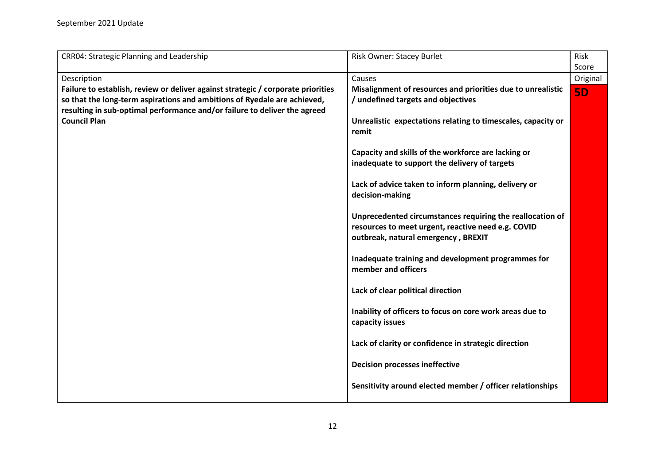<span id="page-11-0"></span>

| <b>CRR04: Strategic Planning and Leadership</b>                                                                                                                                                                                           | <b>Risk Owner: Stacey Burlet</b>                                                                                                                       | Risk      |
|-------------------------------------------------------------------------------------------------------------------------------------------------------------------------------------------------------------------------------------------|--------------------------------------------------------------------------------------------------------------------------------------------------------|-----------|
|                                                                                                                                                                                                                                           |                                                                                                                                                        | Score     |
| Description                                                                                                                                                                                                                               | Causes                                                                                                                                                 | Original  |
| Failure to establish, review or deliver against strategic / corporate priorities<br>so that the long-term aspirations and ambitions of Ryedale are achieved,<br>resulting in sub-optimal performance and/or failure to deliver the agreed | Misalignment of resources and priorities due to unrealistic<br>/ undefined targets and objectives                                                      | <b>5D</b> |
| <b>Council Plan</b>                                                                                                                                                                                                                       | Unrealistic expectations relating to timescales, capacity or<br>remit                                                                                  |           |
|                                                                                                                                                                                                                                           | Capacity and skills of the workforce are lacking or<br>inadequate to support the delivery of targets                                                   |           |
|                                                                                                                                                                                                                                           | Lack of advice taken to inform planning, delivery or<br>decision-making                                                                                |           |
|                                                                                                                                                                                                                                           | Unprecedented circumstances requiring the reallocation of<br>resources to meet urgent, reactive need e.g. COVID<br>outbreak, natural emergency, BREXIT |           |
|                                                                                                                                                                                                                                           | Inadequate training and development programmes for<br>member and officers                                                                              |           |
|                                                                                                                                                                                                                                           | Lack of clear political direction                                                                                                                      |           |
|                                                                                                                                                                                                                                           | Inability of officers to focus on core work areas due to<br>capacity issues                                                                            |           |
|                                                                                                                                                                                                                                           | Lack of clarity or confidence in strategic direction                                                                                                   |           |
|                                                                                                                                                                                                                                           | <b>Decision processes ineffective</b>                                                                                                                  |           |
|                                                                                                                                                                                                                                           | Sensitivity around elected member / officer relationships                                                                                              |           |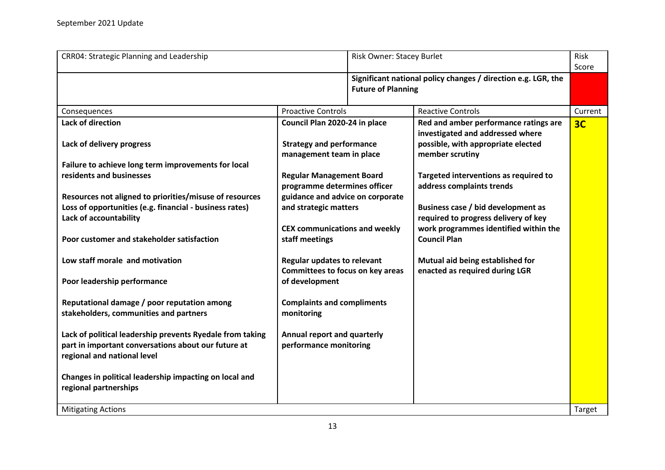| <b>CRR04: Strategic Planning and Leadership</b>                                                                  |                                                                 | Risk Owner: Stacey Burlet |                                                                    | Risk<br>Score  |
|------------------------------------------------------------------------------------------------------------------|-----------------------------------------------------------------|---------------------------|--------------------------------------------------------------------|----------------|
|                                                                                                                  |                                                                 | <b>Future of Planning</b> | Significant national policy changes / direction e.g. LGR, the      |                |
| Consequences                                                                                                     | <b>Proactive Controls</b>                                       |                           | <b>Reactive Controls</b>                                           | Current        |
| <b>Lack of direction</b>                                                                                         | Council Plan 2020-24 in place                                   |                           | Red and amber performance ratings are                              | 3 <sub>C</sub> |
|                                                                                                                  |                                                                 |                           | investigated and addressed where                                   |                |
| Lack of delivery progress                                                                                        | <b>Strategy and performance</b>                                 |                           | possible, with appropriate elected                                 |                |
|                                                                                                                  | management team in place                                        |                           | member scrutiny                                                    |                |
| Failure to achieve long term improvements for local                                                              |                                                                 |                           |                                                                    |                |
| residents and businesses                                                                                         | <b>Regular Management Board</b><br>programme determines officer |                           | Targeted interventions as required to<br>address complaints trends |                |
| Resources not aligned to priorities/misuse of resources                                                          | guidance and advice on corporate                                |                           |                                                                    |                |
| Loss of opportunities (e.g. financial - business rates)                                                          | and strategic matters                                           |                           | Business case / bid development as                                 |                |
| Lack of accountability                                                                                           |                                                                 |                           | required to progress delivery of key                               |                |
|                                                                                                                  | <b>CEX communications and weekly</b>                            |                           | work programmes identified within the                              |                |
| Poor customer and stakeholder satisfaction                                                                       | staff meetings                                                  |                           | <b>Council Plan</b>                                                |                |
| Low staff morale and motivation                                                                                  | <b>Regular updates to relevant</b>                              |                           | Mutual aid being established for                                   |                |
|                                                                                                                  | Committees to focus on key areas                                |                           | enacted as required during LGR                                     |                |
| Poor leadership performance                                                                                      | of development                                                  |                           |                                                                    |                |
| Reputational damage / poor reputation among                                                                      | <b>Complaints and compliments</b>                               |                           |                                                                    |                |
| stakeholders, communities and partners                                                                           | monitoring                                                      |                           |                                                                    |                |
| Lack of political leadership prevents Ryedale from taking<br>part in important conversations about our future at | Annual report and quarterly<br>performance monitoring           |                           |                                                                    |                |
| regional and national level                                                                                      |                                                                 |                           |                                                                    |                |
| Changes in political leadership impacting on local and                                                           |                                                                 |                           |                                                                    |                |
| regional partnerships                                                                                            |                                                                 |                           |                                                                    |                |
| <b>Mitigating Actions</b>                                                                                        |                                                                 |                           |                                                                    | <b>Target</b>  |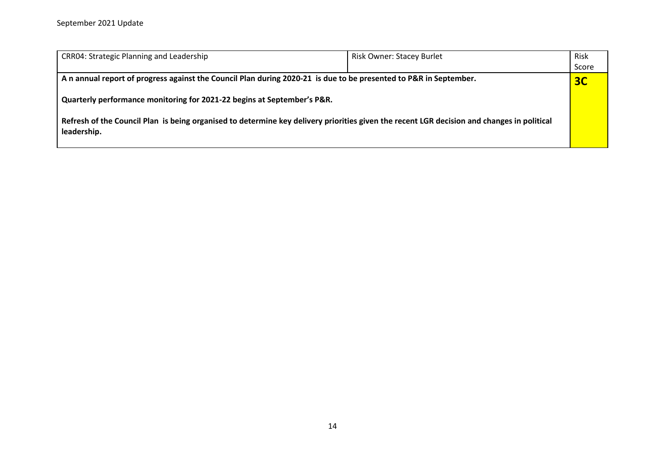| <b>CRR04: Strategic Planning and Leadership</b>                                                                                                           | <b>Risk Owner: Stacey Burlet</b> | Risk           |
|-----------------------------------------------------------------------------------------------------------------------------------------------------------|----------------------------------|----------------|
|                                                                                                                                                           |                                  | Score          |
| A n annual report of progress against the Council Plan during 2020-21 is due to be presented to P&R in September.                                         |                                  | 3 <sub>C</sub> |
| Quarterly performance monitoring for 2021-22 begins at September's P&R.                                                                                   |                                  |                |
| Refresh of the Council Plan is being organised to determine key delivery priorities given the recent LGR decision and changes in political<br>leadership. |                                  |                |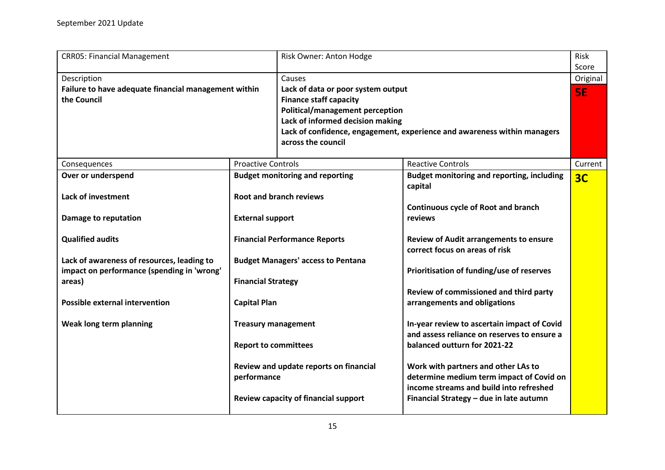<span id="page-14-0"></span>

| Score<br>Description<br>Causes<br>Original<br>Failure to have adequate financial management within<br>Lack of data or poor system output<br>5E<br>the Council<br><b>Finance staff capacity</b><br>Political/management perception<br>Lack of informed decision making<br>Lack of confidence, engagement, experience and awareness within managers<br>across the council<br><b>Proactive Controls</b><br><b>Reactive Controls</b><br>Current<br>Consequences<br><b>Budget monitoring and reporting, including</b><br>Over or underspend<br><b>Budget monitoring and reporting</b><br>3 <sub>C</sub><br>capital<br><b>Root and branch reviews</b><br><b>Lack of investment</b><br><b>Continuous cycle of Root and branch</b><br><b>External support</b><br>reviews<br>Damage to reputation<br><b>Qualified audits</b><br><b>Financial Performance Reports</b><br><b>Review of Audit arrangements to ensure</b> |
|--------------------------------------------------------------------------------------------------------------------------------------------------------------------------------------------------------------------------------------------------------------------------------------------------------------------------------------------------------------------------------------------------------------------------------------------------------------------------------------------------------------------------------------------------------------------------------------------------------------------------------------------------------------------------------------------------------------------------------------------------------------------------------------------------------------------------------------------------------------------------------------------------------------|
|                                                                                                                                                                                                                                                                                                                                                                                                                                                                                                                                                                                                                                                                                                                                                                                                                                                                                                              |
|                                                                                                                                                                                                                                                                                                                                                                                                                                                                                                                                                                                                                                                                                                                                                                                                                                                                                                              |
|                                                                                                                                                                                                                                                                                                                                                                                                                                                                                                                                                                                                                                                                                                                                                                                                                                                                                                              |
|                                                                                                                                                                                                                                                                                                                                                                                                                                                                                                                                                                                                                                                                                                                                                                                                                                                                                                              |
|                                                                                                                                                                                                                                                                                                                                                                                                                                                                                                                                                                                                                                                                                                                                                                                                                                                                                                              |
|                                                                                                                                                                                                                                                                                                                                                                                                                                                                                                                                                                                                                                                                                                                                                                                                                                                                                                              |
|                                                                                                                                                                                                                                                                                                                                                                                                                                                                                                                                                                                                                                                                                                                                                                                                                                                                                                              |
|                                                                                                                                                                                                                                                                                                                                                                                                                                                                                                                                                                                                                                                                                                                                                                                                                                                                                                              |
|                                                                                                                                                                                                                                                                                                                                                                                                                                                                                                                                                                                                                                                                                                                                                                                                                                                                                                              |
|                                                                                                                                                                                                                                                                                                                                                                                                                                                                                                                                                                                                                                                                                                                                                                                                                                                                                                              |
|                                                                                                                                                                                                                                                                                                                                                                                                                                                                                                                                                                                                                                                                                                                                                                                                                                                                                                              |
|                                                                                                                                                                                                                                                                                                                                                                                                                                                                                                                                                                                                                                                                                                                                                                                                                                                                                                              |
|                                                                                                                                                                                                                                                                                                                                                                                                                                                                                                                                                                                                                                                                                                                                                                                                                                                                                                              |
|                                                                                                                                                                                                                                                                                                                                                                                                                                                                                                                                                                                                                                                                                                                                                                                                                                                                                                              |
|                                                                                                                                                                                                                                                                                                                                                                                                                                                                                                                                                                                                                                                                                                                                                                                                                                                                                                              |
|                                                                                                                                                                                                                                                                                                                                                                                                                                                                                                                                                                                                                                                                                                                                                                                                                                                                                                              |
|                                                                                                                                                                                                                                                                                                                                                                                                                                                                                                                                                                                                                                                                                                                                                                                                                                                                                                              |
| correct focus on areas of risk                                                                                                                                                                                                                                                                                                                                                                                                                                                                                                                                                                                                                                                                                                                                                                                                                                                                               |
| Lack of awareness of resources, leading to<br><b>Budget Managers' access to Pentana</b>                                                                                                                                                                                                                                                                                                                                                                                                                                                                                                                                                                                                                                                                                                                                                                                                                      |
| impact on performance (spending in 'wrong'<br>Prioritisation of funding/use of reserves                                                                                                                                                                                                                                                                                                                                                                                                                                                                                                                                                                                                                                                                                                                                                                                                                      |
| <b>Financial Strategy</b><br>areas)                                                                                                                                                                                                                                                                                                                                                                                                                                                                                                                                                                                                                                                                                                                                                                                                                                                                          |
| Review of commissioned and third party                                                                                                                                                                                                                                                                                                                                                                                                                                                                                                                                                                                                                                                                                                                                                                                                                                                                       |
| <b>Possible external intervention</b><br><b>Capital Plan</b><br>arrangements and obligations                                                                                                                                                                                                                                                                                                                                                                                                                                                                                                                                                                                                                                                                                                                                                                                                                 |
|                                                                                                                                                                                                                                                                                                                                                                                                                                                                                                                                                                                                                                                                                                                                                                                                                                                                                                              |
| Weak long term planning<br>In-year review to ascertain impact of Covid<br><b>Treasury management</b>                                                                                                                                                                                                                                                                                                                                                                                                                                                                                                                                                                                                                                                                                                                                                                                                         |
| and assess reliance on reserves to ensure a                                                                                                                                                                                                                                                                                                                                                                                                                                                                                                                                                                                                                                                                                                                                                                                                                                                                  |
| <b>Report to committees</b><br>balanced outturn for 2021-22                                                                                                                                                                                                                                                                                                                                                                                                                                                                                                                                                                                                                                                                                                                                                                                                                                                  |
|                                                                                                                                                                                                                                                                                                                                                                                                                                                                                                                                                                                                                                                                                                                                                                                                                                                                                                              |
| Review and update reports on financial<br>Work with partners and other LAs to                                                                                                                                                                                                                                                                                                                                                                                                                                                                                                                                                                                                                                                                                                                                                                                                                                |
| determine medium term impact of Covid on<br>performance                                                                                                                                                                                                                                                                                                                                                                                                                                                                                                                                                                                                                                                                                                                                                                                                                                                      |
| income streams and build into refreshed                                                                                                                                                                                                                                                                                                                                                                                                                                                                                                                                                                                                                                                                                                                                                                                                                                                                      |
| Review capacity of financial support<br>Financial Strategy - due in late autumn                                                                                                                                                                                                                                                                                                                                                                                                                                                                                                                                                                                                                                                                                                                                                                                                                              |
|                                                                                                                                                                                                                                                                                                                                                                                                                                                                                                                                                                                                                                                                                                                                                                                                                                                                                                              |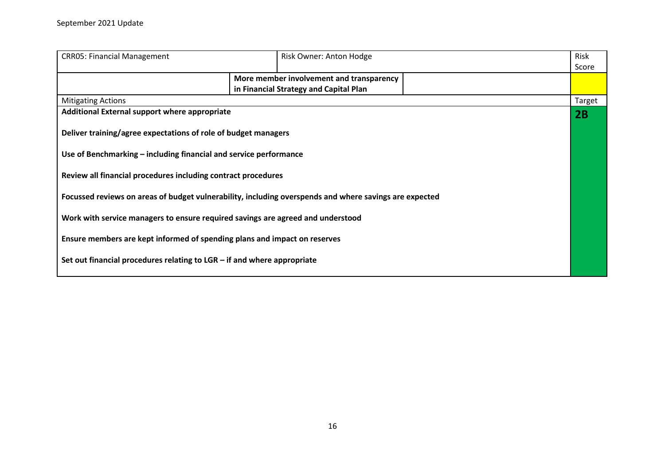| <b>CRR05: Financial Management</b>                                                                     |  | Risk Owner: Anton Hodge                  | Risk          |
|--------------------------------------------------------------------------------------------------------|--|------------------------------------------|---------------|
|                                                                                                        |  |                                          | Score         |
|                                                                                                        |  | More member involvement and transparency |               |
|                                                                                                        |  | in Financial Strategy and Capital Plan   |               |
| <b>Mitigating Actions</b>                                                                              |  |                                          | <b>Target</b> |
| Additional External support where appropriate                                                          |  |                                          | 2B            |
|                                                                                                        |  |                                          |               |
| Deliver training/agree expectations of role of budget managers                                         |  |                                          |               |
|                                                                                                        |  |                                          |               |
| Use of Benchmarking – including financial and service performance                                      |  |                                          |               |
|                                                                                                        |  |                                          |               |
| Review all financial procedures including contract procedures                                          |  |                                          |               |
| Focussed reviews on areas of budget vulnerability, including overspends and where savings are expected |  |                                          |               |
|                                                                                                        |  |                                          |               |
| Work with service managers to ensure required savings are agreed and understood                        |  |                                          |               |
|                                                                                                        |  |                                          |               |
| Ensure members are kept informed of spending plans and impact on reserves                              |  |                                          |               |
|                                                                                                        |  |                                          |               |
| Set out financial procedures relating to $LGR - if$ and where appropriate                              |  |                                          |               |
|                                                                                                        |  |                                          |               |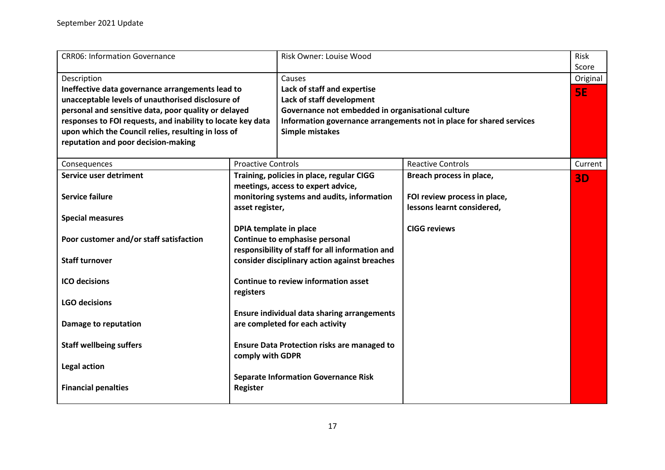<span id="page-16-0"></span>

| <b>CRR06: Information Governance</b>                                                                                                                                                                                                                                                                                                      |                                                                                                                               | Risk Owner: Louise Wood                                                                                                                                                                                            |                                                                                        | Risk<br>Score         |
|-------------------------------------------------------------------------------------------------------------------------------------------------------------------------------------------------------------------------------------------------------------------------------------------------------------------------------------------|-------------------------------------------------------------------------------------------------------------------------------|--------------------------------------------------------------------------------------------------------------------------------------------------------------------------------------------------------------------|----------------------------------------------------------------------------------------|-----------------------|
| Description<br>Ineffective data governance arrangements lead to<br>unacceptable levels of unauthorised disclosure of<br>personal and sensitive data, poor quality or delayed<br>responses to FOI requests, and inability to locate key data<br>upon which the Council relies, resulting in loss of<br>reputation and poor decision-making |                                                                                                                               | Causes<br>Lack of staff and expertise<br>Lack of staff development<br>Governance not embedded in organisational culture<br>Information governance arrangements not in place for shared services<br>Simple mistakes |                                                                                        | Original<br><b>5E</b> |
| Consequences                                                                                                                                                                                                                                                                                                                              | <b>Proactive Controls</b>                                                                                                     |                                                                                                                                                                                                                    | <b>Reactive Controls</b>                                                               | Current               |
| Service user detriment<br><b>Service failure</b>                                                                                                                                                                                                                                                                                          | Training, policies in place, regular CIGG<br>meetings, access to expert advice,<br>monitoring systems and audits, information |                                                                                                                                                                                                                    | Breach process in place,<br>FOI review process in place,<br>lessons learnt considered, | <b>3D</b>             |
| <b>Special measures</b>                                                                                                                                                                                                                                                                                                                   | asset register,<br>DPIA template in place                                                                                     |                                                                                                                                                                                                                    | <b>CIGG reviews</b>                                                                    |                       |
| Poor customer and/or staff satisfaction                                                                                                                                                                                                                                                                                                   | Continue to emphasise personal<br>responsibility of staff for all information and                                             |                                                                                                                                                                                                                    |                                                                                        |                       |
| <b>Staff turnover</b>                                                                                                                                                                                                                                                                                                                     | consider disciplinary action against breaches                                                                                 |                                                                                                                                                                                                                    |                                                                                        |                       |
| <b>ICO</b> decisions                                                                                                                                                                                                                                                                                                                      | Continue to review information asset<br>registers                                                                             |                                                                                                                                                                                                                    |                                                                                        |                       |
| <b>LGO decisions</b>                                                                                                                                                                                                                                                                                                                      |                                                                                                                               | <b>Ensure individual data sharing arrangements</b>                                                                                                                                                                 |                                                                                        |                       |
| Damage to reputation                                                                                                                                                                                                                                                                                                                      | are completed for each activity                                                                                               |                                                                                                                                                                                                                    |                                                                                        |                       |
| <b>Staff wellbeing suffers</b>                                                                                                                                                                                                                                                                                                            | <b>Ensure Data Protection risks are managed to</b><br>comply with GDPR                                                        |                                                                                                                                                                                                                    |                                                                                        |                       |
| <b>Legal action</b>                                                                                                                                                                                                                                                                                                                       | <b>Separate Information Governance Risk</b>                                                                                   |                                                                                                                                                                                                                    |                                                                                        |                       |
| <b>Financial penalties</b>                                                                                                                                                                                                                                                                                                                | <b>Register</b>                                                                                                               |                                                                                                                                                                                                                    |                                                                                        |                       |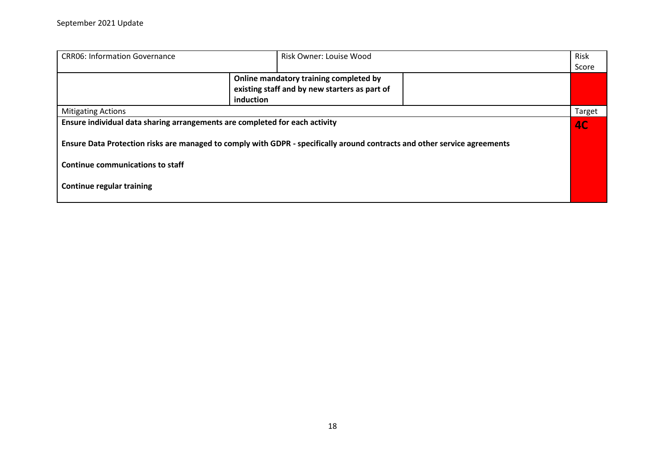| <b>CRR06: Information Governance</b>                                                                                                                                                                     | Risk Owner: Louise Wood                                                                              |  |           |
|----------------------------------------------------------------------------------------------------------------------------------------------------------------------------------------------------------|------------------------------------------------------------------------------------------------------|--|-----------|
|                                                                                                                                                                                                          |                                                                                                      |  | Score     |
|                                                                                                                                                                                                          | Online mandatory training completed by<br>existing staff and by new starters as part of<br>induction |  |           |
| <b>Mitigating Actions</b>                                                                                                                                                                                |                                                                                                      |  | Target    |
| Ensure individual data sharing arrangements are completed for each activity<br>Ensure Data Protection risks are managed to comply with GDPR - specifically around contracts and other service agreements |                                                                                                      |  | <b>AC</b> |
| <b>Continue communications to staff</b><br><b>Continue regular training</b>                                                                                                                              |                                                                                                      |  |           |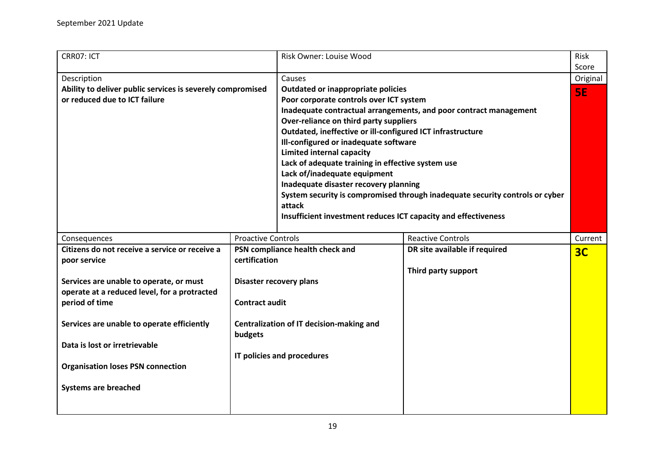<span id="page-18-0"></span>

| CRR07: ICT                                                                                                                                                                                                                                                                                                                                            |                                                                                | Risk Owner: Louise Wood                                                                                                                                                                                                                                                                                                                                                                                                                                                                |                                                                                                                                                   | Risk<br>Score             |
|-------------------------------------------------------------------------------------------------------------------------------------------------------------------------------------------------------------------------------------------------------------------------------------------------------------------------------------------------------|--------------------------------------------------------------------------------|----------------------------------------------------------------------------------------------------------------------------------------------------------------------------------------------------------------------------------------------------------------------------------------------------------------------------------------------------------------------------------------------------------------------------------------------------------------------------------------|---------------------------------------------------------------------------------------------------------------------------------------------------|---------------------------|
| Description<br>Ability to deliver public services is severely compromised<br>or reduced due to ICT failure                                                                                                                                                                                                                                            |                                                                                | Causes<br>Outdated or inappropriate policies<br>Poor corporate controls over ICT system<br>Over-reliance on third party suppliers<br>Outdated, ineffective or ill-configured ICT infrastructure<br>Ill-configured or inadequate software<br><b>Limited internal capacity</b><br>Lack of adequate training in effective system use<br>Lack of/inadequate equipment<br>Inadequate disaster recovery planning<br>attack<br>Insufficient investment reduces ICT capacity and effectiveness | Inadequate contractual arrangements, and poor contract management<br>System security is compromised through inadequate security controls or cyber | Original<br>5E            |
| Consequences<br>Citizens do not receive a service or receive a<br>poor service<br>Services are unable to operate, or must<br>operate at a reduced level, for a protracted<br>period of time<br>Services are unable to operate efficiently<br>Data is lost or irretrievable<br><b>Organisation loses PSN connection</b><br><b>Systems are breached</b> | <b>Proactive Controls</b><br>certification<br><b>Contract audit</b><br>budgets | PSN compliance health check and<br>Disaster recovery plans<br>Centralization of IT decision-making and<br>IT policies and procedures                                                                                                                                                                                                                                                                                                                                                   | <b>Reactive Controls</b><br>DR site available if required<br>Third party support                                                                  | Current<br>3 <sub>C</sub> |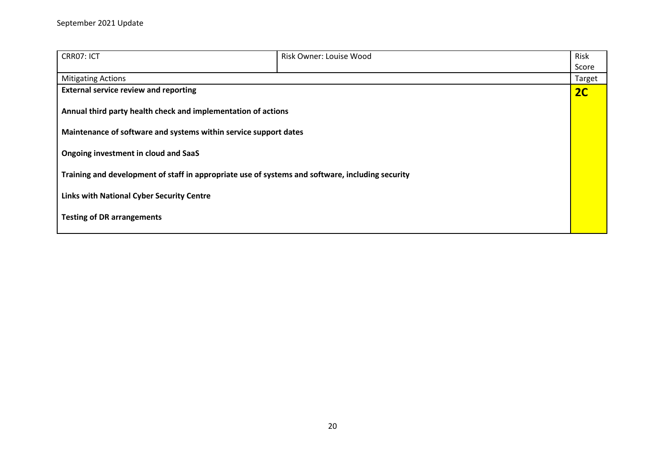| CRR07: ICT                                                                                       | Risk Owner: Louise Wood | Risk   |
|--------------------------------------------------------------------------------------------------|-------------------------|--------|
|                                                                                                  |                         | Score  |
| <b>Mitigating Actions</b>                                                                        |                         | Target |
| <b>External service review and reporting</b>                                                     |                         | 2C     |
| Annual third party health check and implementation of actions                                    |                         |        |
| Maintenance of software and systems within service support dates                                 |                         |        |
| Ongoing investment in cloud and SaaS                                                             |                         |        |
| Training and development of staff in appropriate use of systems and software, including security |                         |        |
| <b>Links with National Cyber Security Centre</b>                                                 |                         |        |
| <b>Testing of DR arrangements</b>                                                                |                         |        |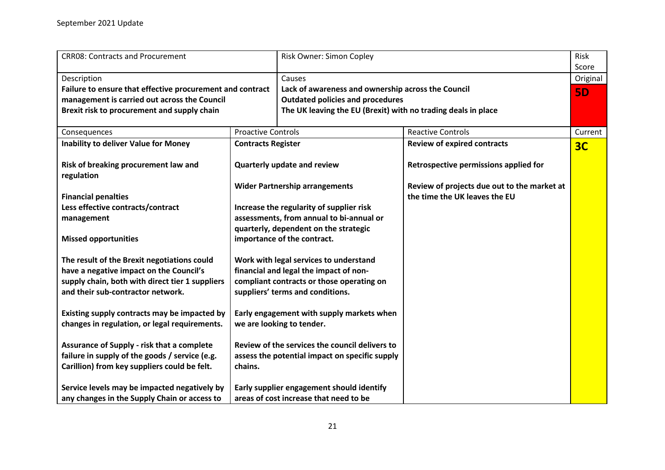<span id="page-20-0"></span>

| <b>CRR08: Contracts and Procurement</b>                   |                                                | Risk Owner: Simon Copley                                      |                                                                              | Risk<br>Score  |
|-----------------------------------------------------------|------------------------------------------------|---------------------------------------------------------------|------------------------------------------------------------------------------|----------------|
| Description                                               |                                                | Causes                                                        |                                                                              | Original       |
| Failure to ensure that effective procurement and contract |                                                | Lack of awareness and ownership across the Council            |                                                                              | <b>5D</b>      |
| management is carried out across the Council              |                                                | <b>Outdated policies and procedures</b>                       |                                                                              |                |
| Brexit risk to procurement and supply chain               |                                                | The UK leaving the EU (Brexit) with no trading deals in place |                                                                              |                |
| Consequences                                              | <b>Proactive Controls</b>                      |                                                               | <b>Reactive Controls</b>                                                     | Current        |
| <b>Inability to deliver Value for Money</b>               | <b>Contracts Register</b>                      |                                                               | <b>Review of expired contracts</b>                                           | 3 <sub>C</sub> |
| Risk of breaking procurement law and<br>regulation        |                                                | Quarterly update and review                                   | Retrospective permissions applied for                                        |                |
| <b>Financial penalties</b>                                |                                                | <b>Wider Partnership arrangements</b>                         | Review of projects due out to the market at<br>the time the UK leaves the EU |                |
| Less effective contracts/contract                         |                                                | Increase the regularity of supplier risk                      |                                                                              |                |
| management                                                |                                                | assessments, from annual to bi-annual or                      |                                                                              |                |
|                                                           |                                                | quarterly, dependent on the strategic                         |                                                                              |                |
| <b>Missed opportunities</b>                               | importance of the contract.                    |                                                               |                                                                              |                |
| The result of the Brexit negotiations could               | Work with legal services to understand         |                                                               |                                                                              |                |
| have a negative impact on the Council's                   | financial and legal the impact of non-         |                                                               |                                                                              |                |
| supply chain, both with direct tier 1 suppliers           |                                                | compliant contracts or those operating on                     |                                                                              |                |
| and their sub-contractor network.                         |                                                | suppliers' terms and conditions.                              |                                                                              |                |
| Existing supply contracts may be impacted by              |                                                | Early engagement with supply markets when                     |                                                                              |                |
| changes in regulation, or legal requirements.             |                                                | we are looking to tender.                                     |                                                                              |                |
| Assurance of Supply - risk that a complete                |                                                | Review of the services the council delivers to                |                                                                              |                |
| failure in supply of the goods / service (e.g.            | assess the potential impact on specific supply |                                                               |                                                                              |                |
| Carillion) from key suppliers could be felt.              | chains.                                        |                                                               |                                                                              |                |
| Service levels may be impacted negatively by              |                                                | Early supplier engagement should identify                     |                                                                              |                |
| any changes in the Supply Chain or access to              |                                                | areas of cost increase that need to be                        |                                                                              |                |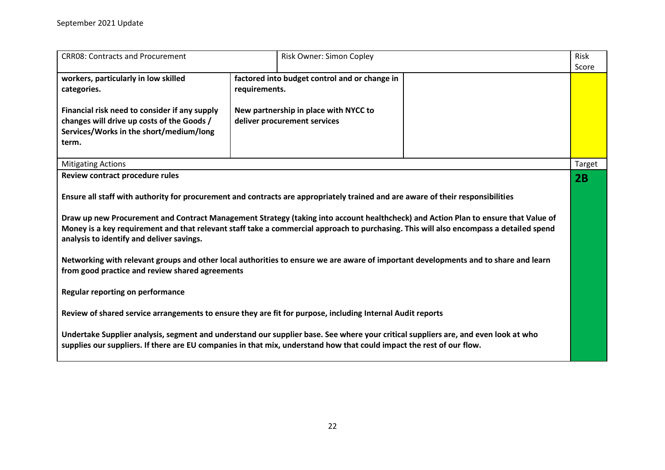| <b>CRR08: Contracts and Procurement</b>                                                                                                                                                                                                                                                                                                                                                                                                                                                                                                                                                                                                                                                    |                                                                                                                                         | Risk Owner: Simon Copley |  | Risk<br>Score |
|--------------------------------------------------------------------------------------------------------------------------------------------------------------------------------------------------------------------------------------------------------------------------------------------------------------------------------------------------------------------------------------------------------------------------------------------------------------------------------------------------------------------------------------------------------------------------------------------------------------------------------------------------------------------------------------------|-----------------------------------------------------------------------------------------------------------------------------------------|--------------------------|--|---------------|
| workers, particularly in low skilled<br>categories.<br>Financial risk need to consider if any supply<br>changes will drive up costs of the Goods /<br>Services/Works in the short/medium/long<br>term.                                                                                                                                                                                                                                                                                                                                                                                                                                                                                     | factored into budget control and or change in<br>requirements.<br>New partnership in place with NYCC to<br>deliver procurement services |                          |  |               |
| <b>Mitigating Actions</b>                                                                                                                                                                                                                                                                                                                                                                                                                                                                                                                                                                                                                                                                  |                                                                                                                                         |                          |  | Target        |
| Review contract procedure rules                                                                                                                                                                                                                                                                                                                                                                                                                                                                                                                                                                                                                                                            |                                                                                                                                         |                          |  | 2B            |
| Ensure all staff with authority for procurement and contracts are appropriately trained and are aware of their responsibilities<br>Draw up new Procurement and Contract Management Strategy (taking into account healthcheck) and Action Plan to ensure that Value of<br>Money is a key requirement and that relevant staff take a commercial approach to purchasing. This will also encompass a detailed spend<br>analysis to identify and deliver savings.<br>Networking with relevant groups and other local authorities to ensure we are aware of important developments and to share and learn<br>from good practice and review shared agreements<br>Regular reporting on performance |                                                                                                                                         |                          |  |               |
| Review of shared service arrangements to ensure they are fit for purpose, including Internal Audit reports                                                                                                                                                                                                                                                                                                                                                                                                                                                                                                                                                                                 |                                                                                                                                         |                          |  |               |
| Undertake Supplier analysis, segment and understand our supplier base. See where your critical suppliers are, and even look at who<br>supplies our suppliers. If there are EU companies in that mix, understand how that could impact the rest of our flow.                                                                                                                                                                                                                                                                                                                                                                                                                                |                                                                                                                                         |                          |  |               |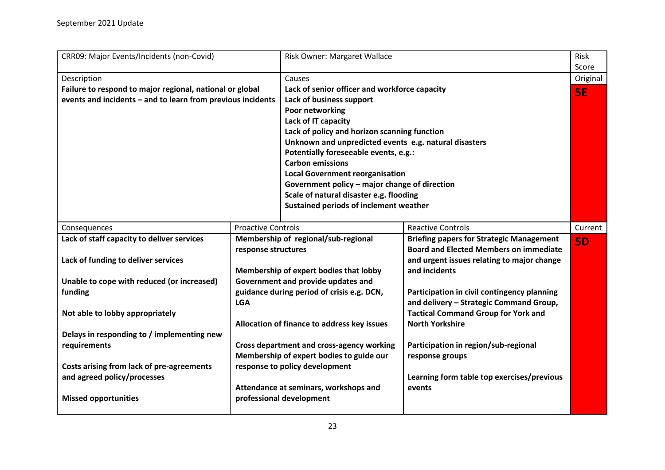<span id="page-22-0"></span>

| CRR09: Major Events/Incidents (non-Covid)                   |                           | Risk Owner: Margaret Wallace                          |                                                 | Risk<br>Score |
|-------------------------------------------------------------|---------------------------|-------------------------------------------------------|-------------------------------------------------|---------------|
| Description                                                 |                           | Causes                                                |                                                 | Original      |
| Failure to respond to major regional, national or global    |                           | Lack of senior officer and workforce capacity         |                                                 | <b>5E</b>     |
| events and incidents - and to learn from previous incidents |                           | Lack of business support                              |                                                 |               |
|                                                             |                           | Poor networking                                       |                                                 |               |
|                                                             |                           | Lack of IT capacity                                   |                                                 |               |
|                                                             |                           | Lack of policy and horizon scanning function          |                                                 |               |
|                                                             |                           | Unknown and unpredicted events e.g. natural disasters |                                                 |               |
|                                                             |                           | Potentially foreseeable events, e.g.:                 |                                                 |               |
|                                                             |                           | <b>Carbon emissions</b>                               |                                                 |               |
|                                                             |                           | <b>Local Government reorganisation</b>                |                                                 |               |
|                                                             |                           | Government policy - major change of direction         |                                                 |               |
|                                                             |                           | Scale of natural disaster e.g. flooding               |                                                 |               |
|                                                             |                           | Sustained periods of inclement weather                |                                                 |               |
|                                                             |                           |                                                       |                                                 |               |
| Consequences                                                | <b>Proactive Controls</b> |                                                       | <b>Reactive Controls</b>                        | Current       |
| Lack of staff capacity to deliver services                  |                           | Membership of regional/sub-regional                   | <b>Briefing papers for Strategic Management</b> | <b>5D</b>     |
|                                                             | response structures       |                                                       | <b>Board and Elected Members on immediate</b>   |               |
| Lack of funding to deliver services                         |                           |                                                       | and urgent issues relating to major change      |               |
|                                                             |                           | Membership of expert bodies that lobby                | and incidents                                   |               |
| Unable to cope with reduced (or increased)                  |                           | Government and provide updates and                    |                                                 |               |
| funding                                                     |                           | guidance during period of crisis e.g. DCN,            | Participation in civil contingency planning     |               |
|                                                             | <b>LGA</b>                |                                                       | and delivery - Strategic Command Group,         |               |
| Not able to lobby appropriately                             |                           |                                                       | <b>Tactical Command Group for York and</b>      |               |
|                                                             |                           | Allocation of finance to address key issues           | <b>North Yorkshire</b>                          |               |
| Delays in responding to / implementing new                  |                           |                                                       |                                                 |               |
| requirements                                                |                           | <b>Cross department and cross-agency working</b>      | Participation in region/sub-regional            |               |
|                                                             |                           | Membership of expert bodies to guide our              | response groups                                 |               |
| Costs arising from lack of pre-agreements                   |                           | response to policy development                        |                                                 |               |
| and agreed policy/processes                                 |                           |                                                       | Learning form table top exercises/previous      |               |
|                                                             |                           | Attendance at seminars, workshops and                 | events                                          |               |
| <b>Missed opportunities</b>                                 |                           | professional development                              |                                                 |               |
|                                                             |                           |                                                       |                                                 |               |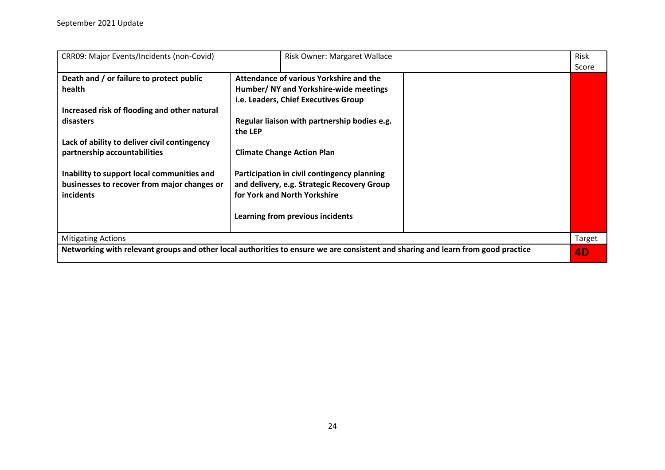| CRR09: Major Events/Incidents (non-Covid)                                                 | Risk Owner: Margaret Wallace                                                                                                     | Risk<br>Score |
|-------------------------------------------------------------------------------------------|----------------------------------------------------------------------------------------------------------------------------------|---------------|
| Death and / or failure to protect public                                                  | Attendance of various Yorkshire and the                                                                                          |               |
| health                                                                                    | Humber/ NY and Yorkshire-wide meetings                                                                                           |               |
|                                                                                           | i.e. Leaders, Chief Executives Group                                                                                             |               |
| Increased risk of flooding and other natural                                              |                                                                                                                                  |               |
| disasters                                                                                 | Regular liaison with partnership bodies e.g.<br>the LEP                                                                          |               |
| Lack of ability to deliver civil contingency<br>partnership accountabilities              | <b>Climate Change Action Plan</b>                                                                                                |               |
| Inability to support local communities and<br>businesses to recover from major changes or | Participation in civil contingency planning<br>and delivery, e.g. Strategic Recovery Group                                       |               |
| incidents                                                                                 | for York and North Yorkshire                                                                                                     |               |
|                                                                                           | Learning from previous incidents                                                                                                 |               |
| <b>Mitigating Actions</b>                                                                 |                                                                                                                                  | Target        |
|                                                                                           | Networking with relevant groups and other local authorities to ensure we are consistent and sharing and learn from good practice | 4D            |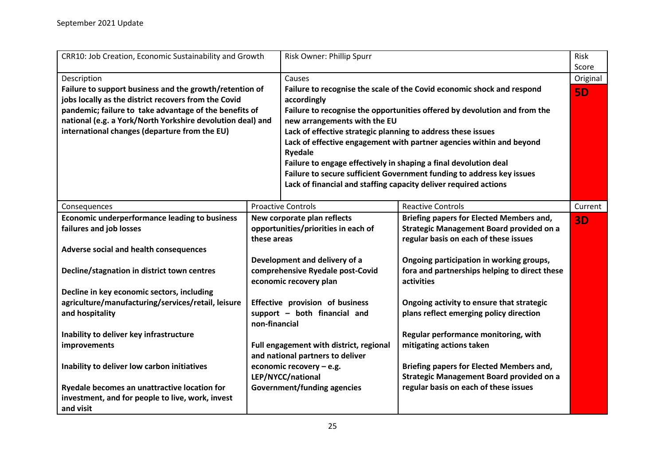<span id="page-24-0"></span>

| CRR10: Job Creation, Economic Sustainability and Growth                                                                                                                                                                                                |                                     | Risk Owner: Phillip Spurr                                                                                                                                                                          |                                                                       | Risk      |
|--------------------------------------------------------------------------------------------------------------------------------------------------------------------------------------------------------------------------------------------------------|-------------------------------------|----------------------------------------------------------------------------------------------------------------------------------------------------------------------------------------------------|-----------------------------------------------------------------------|-----------|
|                                                                                                                                                                                                                                                        |                                     |                                                                                                                                                                                                    |                                                                       | Score     |
| Description<br>Failure to support business and the growth/retention of<br>jobs locally as the district recovers from the Covid<br>pandemic; failure to take advantage of the benefits of<br>national (e.g. a York/North Yorkshire devolution deal) and |                                     | Causes                                                                                                                                                                                             |                                                                       | Original  |
|                                                                                                                                                                                                                                                        |                                     | Failure to recognise the scale of the Covid economic shock and respond<br>accordingly<br>Failure to recognise the opportunities offered by devolution and from the<br>new arrangements with the EU |                                                                       |           |
|                                                                                                                                                                                                                                                        |                                     |                                                                                                                                                                                                    |                                                                       |           |
|                                                                                                                                                                                                                                                        |                                     |                                                                                                                                                                                                    | Lack of effective engagement with partner agencies within and beyond  |           |
|                                                                                                                                                                                                                                                        |                                     | <b>Ryedale</b>                                                                                                                                                                                     |                                                                       |           |
|                                                                                                                                                                                                                                                        |                                     |                                                                                                                                                                                                    | Failure to engage effectively in shaping a final devolution deal      |           |
|                                                                                                                                                                                                                                                        |                                     |                                                                                                                                                                                                    | Failure to secure sufficient Government funding to address key issues |           |
|                                                                                                                                                                                                                                                        |                                     |                                                                                                                                                                                                    | Lack of financial and staffing capacity deliver required actions      |           |
|                                                                                                                                                                                                                                                        |                                     |                                                                                                                                                                                                    |                                                                       |           |
| Consequences                                                                                                                                                                                                                                           |                                     | <b>Proactive Controls</b>                                                                                                                                                                          | <b>Reactive Controls</b>                                              | Current   |
| <b>Economic underperformance leading to business</b>                                                                                                                                                                                                   | New corporate plan reflects         |                                                                                                                                                                                                    | Briefing papers for Elected Members and,                              | <b>3D</b> |
| failures and job losses                                                                                                                                                                                                                                | opportunities/priorities in each of |                                                                                                                                                                                                    | <b>Strategic Management Board provided on a</b>                       |           |
|                                                                                                                                                                                                                                                        | these areas                         |                                                                                                                                                                                                    | regular basis on each of these issues                                 |           |
| Adverse social and health consequences                                                                                                                                                                                                                 |                                     |                                                                                                                                                                                                    |                                                                       |           |
|                                                                                                                                                                                                                                                        |                                     | Development and delivery of a                                                                                                                                                                      | Ongoing participation in working groups,                              |           |
| Decline/stagnation in district town centres                                                                                                                                                                                                            |                                     | comprehensive Ryedale post-Covid                                                                                                                                                                   | fora and partnerships helping to direct these                         |           |
|                                                                                                                                                                                                                                                        |                                     | economic recovery plan                                                                                                                                                                             | activities                                                            |           |
| Decline in key economic sectors, including                                                                                                                                                                                                             |                                     |                                                                                                                                                                                                    |                                                                       |           |
| agriculture/manufacturing/services/retail, leisure                                                                                                                                                                                                     |                                     | Effective provision of business                                                                                                                                                                    | Ongoing activity to ensure that strategic                             |           |
| and hospitality                                                                                                                                                                                                                                        |                                     | support - both financial and                                                                                                                                                                       | plans reflect emerging policy direction                               |           |
|                                                                                                                                                                                                                                                        | non-financial                       |                                                                                                                                                                                                    |                                                                       |           |
| Inability to deliver key infrastructure                                                                                                                                                                                                                |                                     |                                                                                                                                                                                                    | Regular performance monitoring, with                                  |           |
| improvements                                                                                                                                                                                                                                           |                                     | Full engagement with district, regional                                                                                                                                                            | mitigating actions taken                                              |           |
|                                                                                                                                                                                                                                                        |                                     | and national partners to deliver                                                                                                                                                                   |                                                                       |           |
| Inability to deliver low carbon initiatives                                                                                                                                                                                                            |                                     | economic recovery - e.g.                                                                                                                                                                           | <b>Briefing papers for Elected Members and,</b>                       |           |
|                                                                                                                                                                                                                                                        |                                     | LEP/NYCC/national                                                                                                                                                                                  | <b>Strategic Management Board provided on a</b>                       |           |
| Ryedale becomes an unattractive location for                                                                                                                                                                                                           |                                     | Government/funding agencies                                                                                                                                                                        | regular basis on each of these issues                                 |           |
| investment, and for people to live, work, invest                                                                                                                                                                                                       |                                     |                                                                                                                                                                                                    |                                                                       |           |
| and visit                                                                                                                                                                                                                                              |                                     |                                                                                                                                                                                                    |                                                                       |           |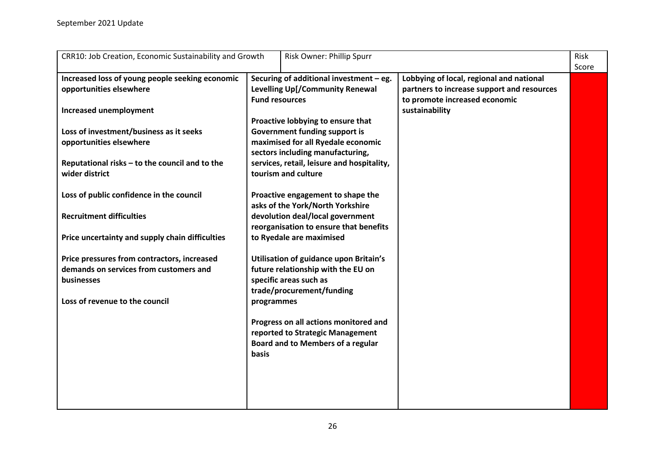| CRR10: Job Creation, Economic Sustainability and Growth                                                                               | Risk Owner: Phillip Spurr                                                                                                                             |                                                                                                                         | Risk<br>Score |
|---------------------------------------------------------------------------------------------------------------------------------------|-------------------------------------------------------------------------------------------------------------------------------------------------------|-------------------------------------------------------------------------------------------------------------------------|---------------|
| Increased loss of young people seeking economic<br>opportunities elsewhere                                                            | Securing of additional investment - eg.<br>Levelling Up[/Community Renewal<br><b>Fund resources</b>                                                   | Lobbying of local, regional and national<br>partners to increase support and resources<br>to promote increased economic |               |
| <b>Increased unemployment</b>                                                                                                         | Proactive lobbying to ensure that                                                                                                                     | sustainability                                                                                                          |               |
| Loss of investment/business as it seeks<br>opportunities elsewhere<br>Reputational risks - to the council and to the                  | Government funding support is<br>maximised for all Ryedale economic<br>sectors including manufacturing,<br>services, retail, leisure and hospitality, |                                                                                                                         |               |
| wider district                                                                                                                        | tourism and culture                                                                                                                                   |                                                                                                                         |               |
| Loss of public confidence in the council                                                                                              | Proactive engagement to shape the<br>asks of the York/North Yorkshire                                                                                 |                                                                                                                         |               |
| <b>Recruitment difficulties</b>                                                                                                       | devolution deal/local government<br>reorganisation to ensure that benefits                                                                            |                                                                                                                         |               |
| Price uncertainty and supply chain difficulties                                                                                       | to Ryedale are maximised                                                                                                                              |                                                                                                                         |               |
| Price pressures from contractors, increased<br>demands on services from customers and<br>businesses<br>Loss of revenue to the council | Utilisation of guidance upon Britain's<br>future relationship with the EU on<br>specific areas such as<br>trade/procurement/funding<br>programmes     |                                                                                                                         |               |
|                                                                                                                                       | Progress on all actions monitored and<br>reported to Strategic Management<br><b>Board and to Members of a regular</b><br>basis                        |                                                                                                                         |               |
|                                                                                                                                       |                                                                                                                                                       |                                                                                                                         |               |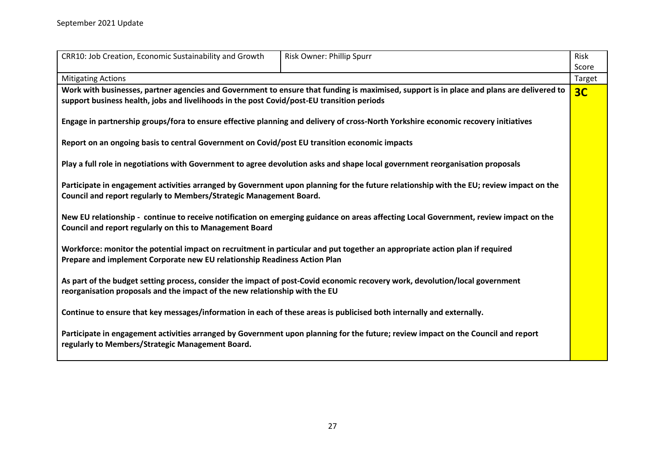| CRR10: Job Creation, Economic Sustainability and Growth                                                                                                                                                        | Risk Owner: Phillip Spurr                                                                                                                 | Risk   |  |
|----------------------------------------------------------------------------------------------------------------------------------------------------------------------------------------------------------------|-------------------------------------------------------------------------------------------------------------------------------------------|--------|--|
|                                                                                                                                                                                                                |                                                                                                                                           | Score  |  |
| <b>Mitigating Actions</b>                                                                                                                                                                                      |                                                                                                                                           | Target |  |
| support business health, jobs and livelihoods in the post Covid/post-EU transition periods                                                                                                                     | Work with businesses, partner agencies and Government to ensure that funding is maximised, support is in place and plans are delivered to | 3C     |  |
|                                                                                                                                                                                                                | Engage in partnership groups/fora to ensure effective planning and delivery of cross-North Yorkshire economic recovery initiatives        |        |  |
| Report on an ongoing basis to central Government on Covid/post EU transition economic impacts                                                                                                                  |                                                                                                                                           |        |  |
|                                                                                                                                                                                                                | Play a full role in negotiations with Government to agree devolution asks and shape local government reorganisation proposals             |        |  |
| Participate in engagement activities arranged by Government upon planning for the future relationship with the EU; review impact on the<br>Council and report regularly to Members/Strategic Management Board. |                                                                                                                                           |        |  |
| New EU relationship - continue to receive notification on emerging guidance on areas affecting Local Government, review impact on the<br>Council and report regularly on this to Management Board              |                                                                                                                                           |        |  |
| Workforce: monitor the potential impact on recruitment in particular and put together an appropriate action plan if required<br>Prepare and implement Corporate new EU relationship Readiness Action Plan      |                                                                                                                                           |        |  |
| As part of the budget setting process, consider the impact of post-Covid economic recovery work, devolution/local government<br>reorganisation proposals and the impact of the new relationship with the EU    |                                                                                                                                           |        |  |
| Continue to ensure that key messages/information in each of these areas is publicised both internally and externally.                                                                                          |                                                                                                                                           |        |  |
| regularly to Members/Strategic Management Board.                                                                                                                                                               | Participate in engagement activities arranged by Government upon planning for the future; review impact on the Council and report         |        |  |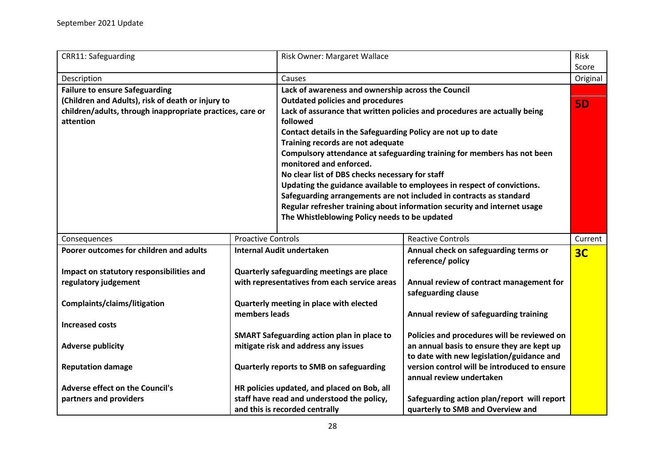<span id="page-27-0"></span>

| <b>CRR11: Safeguarding</b>                                             |                                                   | Risk Owner: Margaret Wallace                                                 |                                                                                  | Risk<br>Score  |
|------------------------------------------------------------------------|---------------------------------------------------|------------------------------------------------------------------------------|----------------------------------------------------------------------------------|----------------|
|                                                                        |                                                   | Causes                                                                       |                                                                                  |                |
| Description                                                            |                                                   |                                                                              |                                                                                  | Original       |
| <b>Failure to ensure Safeguarding</b>                                  |                                                   | Lack of awareness and ownership across the Council                           |                                                                                  |                |
| (Children and Adults), risk of death or injury to                      |                                                   | <b>Outdated policies and procedures</b>                                      |                                                                                  | <b>5D</b>      |
| children/adults, through inappropriate practices, care or<br>attention |                                                   | followed                                                                     | Lack of assurance that written policies and procedures are actually being        |                |
|                                                                        |                                                   | Contact details in the Safeguarding Policy are not up to date                |                                                                                  |                |
|                                                                        |                                                   | Training records are not adequate                                            |                                                                                  |                |
|                                                                        |                                                   |                                                                              | Compulsory attendance at safeguarding training for members has not been          |                |
|                                                                        |                                                   | monitored and enforced.                                                      |                                                                                  |                |
|                                                                        |                                                   | No clear list of DBS checks necessary for staff                              |                                                                                  |                |
|                                                                        |                                                   |                                                                              | Updating the guidance available to employees in respect of convictions.          |                |
|                                                                        |                                                   |                                                                              | Safeguarding arrangements are not included in contracts as standard              |                |
|                                                                        |                                                   |                                                                              | Regular refresher training about information security and internet usage         |                |
|                                                                        |                                                   | The Whistleblowing Policy needs to be updated                                |                                                                                  |                |
|                                                                        |                                                   |                                                                              |                                                                                  |                |
| Consequences                                                           | <b>Proactive Controls</b>                         |                                                                              | <b>Reactive Controls</b>                                                         | Current        |
| Poorer outcomes for children and adults                                | <b>Internal Audit undertaken</b>                  |                                                                              | Annual check on safeguarding terms or                                            | 3 <sub>C</sub> |
|                                                                        |                                                   |                                                                              | reference/ policy                                                                |                |
| Impact on statutory responsibilities and                               |                                                   | Quarterly safeguarding meetings are place                                    |                                                                                  |                |
| regulatory judgement                                                   |                                                   | with representatives from each service areas                                 | Annual review of contract management for                                         |                |
|                                                                        |                                                   |                                                                              | safeguarding clause                                                              |                |
| Complaints/claims/litigation                                           |                                                   | Quarterly meeting in place with elected                                      |                                                                                  |                |
|                                                                        | members leads                                     |                                                                              | Annual review of safeguarding training                                           |                |
| <b>Increased costs</b>                                                 |                                                   |                                                                              |                                                                                  |                |
|                                                                        | <b>SMART Safeguarding action plan in place to</b> |                                                                              |                                                                                  |                |
|                                                                        |                                                   |                                                                              | Policies and procedures will be reviewed on                                      |                |
| <b>Adverse publicity</b>                                               |                                                   | mitigate risk and address any issues                                         | an annual basis to ensure they are kept up                                       |                |
|                                                                        |                                                   |                                                                              | to date with new legislation/guidance and                                        |                |
| <b>Reputation damage</b>                                               |                                                   | Quarterly reports to SMB on safeguarding                                     | version control will be introduced to ensure                                     |                |
|                                                                        |                                                   |                                                                              | annual review undertaken                                                         |                |
| <b>Adverse effect on the Council's</b>                                 |                                                   | HR policies updated, and placed on Bob, all                                  |                                                                                  |                |
| partners and providers                                                 |                                                   | staff have read and understood the policy,<br>and this is recorded centrally | Safeguarding action plan/report will report<br>quarterly to SMB and Overview and |                |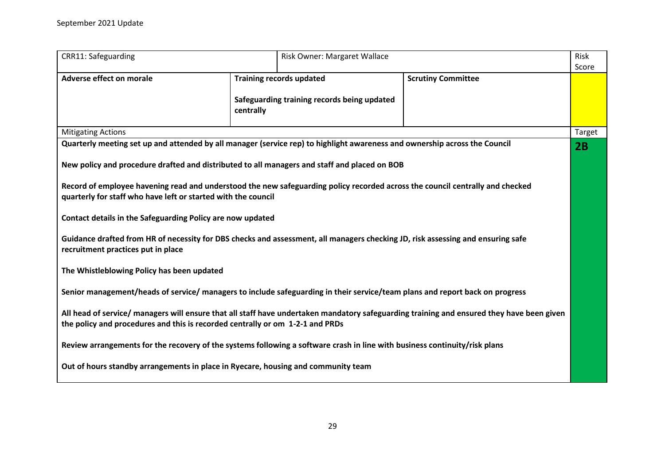| <b>CRR11: Safeguarding</b>                                                                                                                                                                                                                                   |                                                                                             | Risk Owner: Margaret Wallace |        |  |
|--------------------------------------------------------------------------------------------------------------------------------------------------------------------------------------------------------------------------------------------------------------|---------------------------------------------------------------------------------------------|------------------------------|--------|--|
| <b>Adverse effect on morale</b>                                                                                                                                                                                                                              | <b>Training records updated</b><br>Safeguarding training records being updated<br>centrally | <b>Scrutiny Committee</b>    |        |  |
| <b>Mitigating Actions</b>                                                                                                                                                                                                                                    |                                                                                             |                              | Target |  |
| Quarterly meeting set up and attended by all manager (service rep) to highlight awareness and ownership across the Council<br>New policy and procedure drafted and distributed to all managers and staff and placed on BOB                                   |                                                                                             |                              | 2B     |  |
| Record of employee havening read and understood the new safeguarding policy recorded across the council centrally and checked<br>quarterly for staff who have left or started with the council<br>Contact details in the Safeguarding Policy are now updated |                                                                                             |                              |        |  |
| Guidance drafted from HR of necessity for DBS checks and assessment, all managers checking JD, risk assessing and ensuring safe<br>recruitment practices put in place                                                                                        |                                                                                             |                              |        |  |
| The Whistleblowing Policy has been updated                                                                                                                                                                                                                   |                                                                                             |                              |        |  |
| Senior management/heads of service/ managers to include safeguarding in their service/team plans and report back on progress                                                                                                                                 |                                                                                             |                              |        |  |
| All head of service/ managers will ensure that all staff have undertaken mandatory safeguarding training and ensured they have been given<br>the policy and procedures and this is recorded centrally or om 1-2-1 and PRDs                                   |                                                                                             |                              |        |  |
| Review arrangements for the recovery of the systems following a software crash in line with business continuity/risk plans                                                                                                                                   |                                                                                             |                              |        |  |
| Out of hours standby arrangements in place in Ryecare, housing and community team                                                                                                                                                                            |                                                                                             |                              |        |  |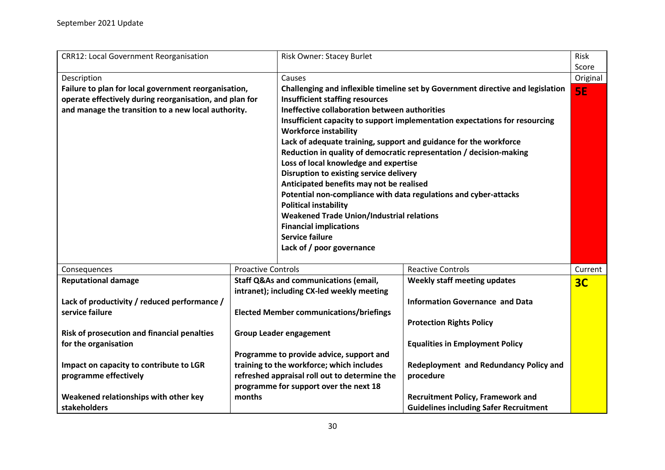<span id="page-29-0"></span>

| <b>CRR12: Local Government Reorganisation</b>           |                           | <b>Risk Owner: Stacey Burlet</b>                                 |                                                                                 | Risk      |
|---------------------------------------------------------|---------------------------|------------------------------------------------------------------|---------------------------------------------------------------------------------|-----------|
|                                                         |                           |                                                                  |                                                                                 | Score     |
| Description                                             |                           | Causes                                                           |                                                                                 | Original  |
| Failure to plan for local government reorganisation,    |                           |                                                                  | Challenging and inflexible timeline set by Government directive and legislation | <b>SE</b> |
| operate effectively during reorganisation, and plan for |                           | <b>Insufficient staffing resources</b>                           |                                                                                 |           |
| and manage the transition to a new local authority.     |                           | Ineffective collaboration between authorities                    |                                                                                 |           |
|                                                         |                           | <b>Workforce instability</b>                                     | Insufficient capacity to support implementation expectations for resourcing     |           |
|                                                         |                           |                                                                  | Lack of adequate training, support and guidance for the workforce               |           |
|                                                         |                           |                                                                  | Reduction in quality of democratic representation / decision-making             |           |
|                                                         |                           | Loss of local knowledge and expertise                            |                                                                                 |           |
|                                                         |                           | Disruption to existing service delivery                          |                                                                                 |           |
|                                                         |                           | Anticipated benefits may not be realised                         |                                                                                 |           |
|                                                         |                           | Potential non-compliance with data regulations and cyber-attacks |                                                                                 |           |
|                                                         |                           | <b>Political instability</b>                                     |                                                                                 |           |
|                                                         |                           | <b>Weakened Trade Union/Industrial relations</b>                 |                                                                                 |           |
|                                                         |                           | <b>Financial implications</b>                                    |                                                                                 |           |
|                                                         |                           | <b>Service failure</b>                                           |                                                                                 |           |
|                                                         |                           | Lack of / poor governance                                        |                                                                                 |           |
|                                                         |                           |                                                                  |                                                                                 |           |
| Consequences                                            | <b>Proactive Controls</b> |                                                                  | <b>Reactive Controls</b>                                                        | Current   |
| <b>Reputational damage</b>                              |                           | <b>Staff Q&amp;As and communications (email,</b>                 | Weekly staff meeting updates                                                    | 3C        |
|                                                         |                           | intranet); including CX-led weekly meeting                       |                                                                                 |           |
| Lack of productivity / reduced performance /            |                           |                                                                  | <b>Information Governance and Data</b>                                          |           |
| service failure                                         |                           | <b>Elected Member communications/briefings</b>                   |                                                                                 |           |
|                                                         |                           |                                                                  | <b>Protection Rights Policy</b>                                                 |           |
| Risk of prosecution and financial penalties             |                           | <b>Group Leader engagement</b>                                   |                                                                                 |           |
| for the organisation                                    |                           |                                                                  | <b>Equalities in Employment Policy</b>                                          |           |
|                                                         |                           | Programme to provide advice, support and                         |                                                                                 |           |
| Impact on capacity to contribute to LGR                 |                           | training to the workforce; which includes                        | Redeployment and Redundancy Policy and                                          |           |
| programme effectively                                   |                           | refreshed appraisal roll out to determine the                    | procedure                                                                       |           |
|                                                         |                           | programme for support over the next 18                           |                                                                                 |           |
| Weakened relationships with other key                   | months                    |                                                                  | <b>Recruitment Policy, Framework and</b>                                        |           |
| stakeholders                                            |                           |                                                                  | <b>Guidelines including Safer Recruitment</b>                                   |           |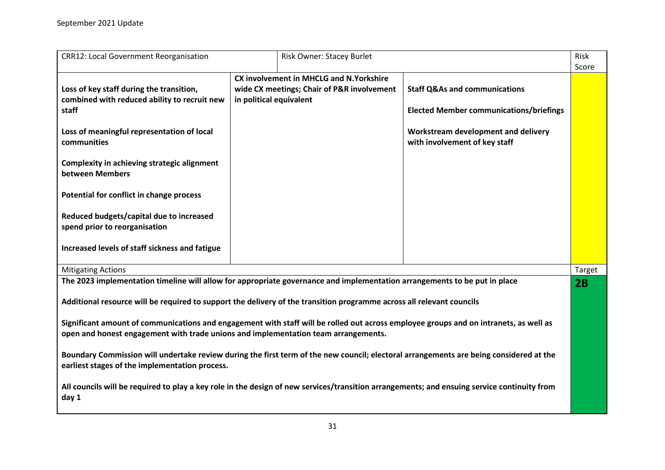| <b>CRR12: Local Government Reorganisation</b>                                                                                                                                                                               |                         | Risk Owner: Stacey Burlet                                                                    |                                                                                                                                   | Risk<br>Score |
|-----------------------------------------------------------------------------------------------------------------------------------------------------------------------------------------------------------------------------|-------------------------|----------------------------------------------------------------------------------------------|-----------------------------------------------------------------------------------------------------------------------------------|---------------|
| Loss of key staff during the transition,<br>combined with reduced ability to recruit new<br>staff<br>Loss of meaningful representation of local                                                                             | in political equivalent | <b>CX involvement in MHCLG and N.Yorkshire</b><br>wide CX meetings; Chair of P&R involvement | <b>Staff Q&amp;As and communications</b><br><b>Elected Member communications/briefings</b><br>Workstream development and delivery |               |
| communities<br><b>Complexity in achieving strategic alignment</b><br>between Members<br>Potential for conflict in change process                                                                                            |                         |                                                                                              | with involvement of key staff                                                                                                     |               |
| Reduced budgets/capital due to increased<br>spend prior to reorganisation                                                                                                                                                   |                         |                                                                                              |                                                                                                                                   |               |
| Increased levels of staff sickness and fatigue<br><b>Mitigating Actions</b>                                                                                                                                                 |                         |                                                                                              |                                                                                                                                   | Target        |
| The 2023 implementation timeline will allow for appropriate governance and implementation arrangements to be put in place                                                                                                   |                         |                                                                                              |                                                                                                                                   | 2B            |
| Additional resource will be required to support the delivery of the transition programme across all relevant councils                                                                                                       |                         |                                                                                              |                                                                                                                                   |               |
| Significant amount of communications and engagement with staff will be rolled out across employee groups and on intranets, as well as<br>open and honest engagement with trade unions and implementation team arrangements. |                         |                                                                                              |                                                                                                                                   |               |
| Boundary Commission will undertake review during the first term of the new council; electoral arrangements are being considered at the<br>earliest stages of the implementation process.                                    |                         |                                                                                              |                                                                                                                                   |               |
| All councils will be required to play a key role in the design of new services/transition arrangements; and ensuing service continuity from<br>day 1                                                                        |                         |                                                                                              |                                                                                                                                   |               |